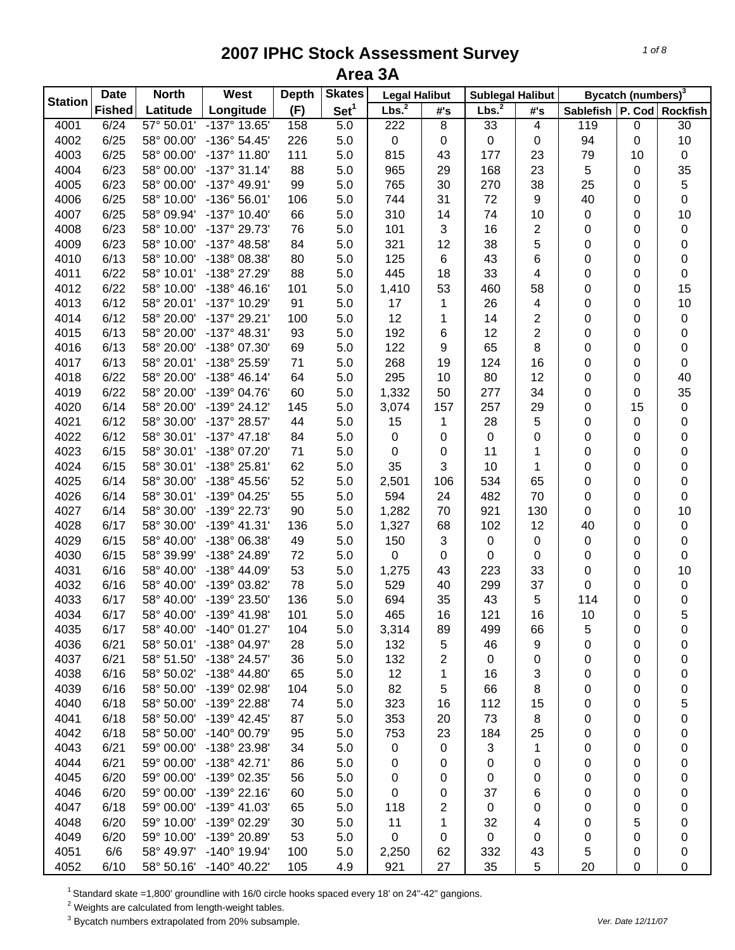| <b>Station</b> | <b>Date</b>   | <b>North</b>             | West                  | <b>Depth</b> | <b>Skates</b>    | <b>Legal Halibut</b> |           | <b>Sublegal Halibut</b> |                         |                               | Bycatch (numbers) <sup>3</sup> |                 |
|----------------|---------------|--------------------------|-----------------------|--------------|------------------|----------------------|-----------|-------------------------|-------------------------|-------------------------------|--------------------------------|-----------------|
|                | <b>Fished</b> | Latitude                 | Longitude             | (F)          | Set <sup>1</sup> | Lbs. <sup>2</sup>    | #'s       | Lbs. <sup>2</sup>       | #'s                     | Sablefish   P. Cod   Rockfish |                                |                 |
| 4001           | 6/24          | 57° 50.01'               | -137° 13.65'          | 158          | 5.0              | 222                  | 8         | 33                      | $\overline{\mathbf{4}}$ | 119                           | 0                              | $\overline{30}$ |
| 4002           | 6/25          | 58° 00.00'               | -136° 54.45'          | 226          | 5.0              | $\pmb{0}$            | $\pmb{0}$ | 0                       | 0                       | 94                            | 0                              | 10              |
| 4003           | 6/25          | 58° 00.00'               | $-137^{\circ}$ 11.80' | 111          | 5.0              | 815                  | 43        | 177                     | 23                      | 79                            | 10                             | $\pmb{0}$       |
| 4004           | 6/23          | 58° 00.00'               | $-137°31.14'$         | 88           | 5.0              | 965                  | 29        | 168                     | 23                      | 5                             | 0                              | 35              |
| 4005           | 6/23          | 58° 00.00'               | -137° 49.91'          | 99           | 5.0              | 765                  | 30        | 270                     | 38                      | 25                            | 0                              | $\,$ 5 $\,$     |
| 4006           | 6/25          | 58° 10.00'               | -136° 56.01'          | 106          | 5.0              | 744                  | 31        | 72                      | 9                       | 40                            | 0                              | $\pmb{0}$       |
| 4007           | 6/25          | 58° 09.94'               | $-137°$ 10.40         | 66           | 5.0              | 310                  | 14        | 74                      | 10                      | $\pmb{0}$                     | 0                              | 10              |
| 4008           | 6/23          | 58° 10.00'               | -137° 29.73'          | 76           | 5.0              | 101                  | 3         | 16                      | $\overline{\mathbf{c}}$ | 0                             | 0                              | $\pmb{0}$       |
| 4009           | 6/23          | 58° 10.00'               | -137° 48.58'          | 84           | 5.0              | 321                  | 12        | 38                      | 5                       | 0                             | 0                              | 0               |
| 4010           | 6/13          | 58° 10.00'               | -138° 08.38'          | 80           | 5.0              | 125                  | $\,6$     | 43                      | 6                       | 0                             | 0                              | 0               |
| 4011           | 6/22          | 58° 10.01'               | -138° 27.29'          | 88           | 5.0              | 445                  | 18        | 33                      | 4                       | 0                             | 0                              | $\pmb{0}$       |
| 4012           | 6/22          | 58° 10.00'               | $-138° 46.16'$        | 101          | 5.0              | 1,410                | 53        | 460                     | 58                      | 0                             | 0                              | 15              |
| 4013           | 6/12          | 58° 20.01'               | -137° 10.29'          | 91           | 5.0              | 17                   | 1         | 26                      | 4                       | 0                             | 0                              | 10              |
| 4014           | 6/12          | 58° 20.00'               | -137° 29.21'          | 100          | 5.0              | 12                   | 1         | 14                      | 2                       | 0                             | 0                              | $\pmb{0}$       |
| 4015           | 6/13          | 58° 20.00'               | $-137^{\circ}$ 48.31' | 93           | 5.0              | 192                  | 6         | 12                      | $\overline{2}$          | 0                             | 0                              | 0               |
| 4016           | 6/13          | 58° 20.00'               | -138° 07.30'          | 69           | 5.0              | 122                  | 9         | 65                      | 8                       | 0                             | 0                              | $\pmb{0}$       |
| 4017           | 6/13          | 58° 20.01'               | -138° 25.59'          | 71           | 5.0              | 268                  | 19        | 124                     | 16                      | 0                             | 0                              | $\pmb{0}$       |
| 4018           | 6/22          | 58° 20.00'               | $-138° 46.14'$        | 64           | 5.0              | 295                  | 10        | 80                      | 12                      | 0                             | 0                              | 40              |
| 4019           | 6/22          | 58° 20.00'               | -139° 04.76'          | 60           | 5.0              | 1,332                | 50        | 277                     | 34                      | 0                             | 0                              | 35              |
| 4020           | 6/14          | 58° 20.00'               | $-139°$ 24.12'        | 145          | 5.0              | 3,074                | 157       | 257                     | 29                      | 0                             | 15                             | $\pmb{0}$       |
| 4021           | 6/12          | 58° 30.00'               | -137° 28.57'          | 44           | 5.0              | 15                   | 1         | 28                      | 5                       | 0                             | 0                              | 0               |
| 4022           | 6/12          | 58° 30.01'               | $-137^{\circ}$ 47.18' | 84           | 5.0              | $\pmb{0}$            | $\pmb{0}$ | 0                       | 0                       | 0                             | 0                              | 0               |
| 4023           | 6/15          | 58° 30.01'               | -138° 07.20'          | 71           | 5.0              | $\pmb{0}$            | $\pmb{0}$ | 11                      | 1                       | 0                             | 0                              | 0               |
| 4024           | 6/15          | 58° 30.01'               | -138° 25.81'          | 62           | 5.0              | 35                   | 3         | 10                      | 1                       | 0                             | 0                              | 0               |
| 4025           | 6/14          | 58° 30.00'               | -138° 45.56'          | 52           | 5.0              | 2,501                | 106       | 534                     | 65                      | 0                             | 0                              | $\pmb{0}$       |
| 4026           | 6/14          | 58° 30.01'               | -139° 04.25'          | 55           | 5.0              | 594                  | 24        | 482                     | 70                      | 0                             | 0                              | $\pmb{0}$       |
|                | 6/14          | 58° 30.00'               | -139° 22.73'          | 90           |                  |                      | 70        | 921                     |                         |                               |                                |                 |
| 4027<br>4028   | 6/17          | 58° 30.00'               | -139° 41.31'          |              | 5.0              | 1,282                |           | 102                     | 130<br>12               | 0<br>40                       | 0                              | 10              |
| 4029           |               |                          |                       | 136          | 5.0              | 1,327                | 68        |                         |                         |                               | 0                              | $\pmb{0}$       |
|                | 6/15          | 58° 40.00'               | -138° 06.38'          | 49           | 5.0              | 150                  | 3         | 0                       | 0                       | 0                             | 0                              | $\pmb{0}$       |
| 4030           | 6/15          | 58° 39.99'<br>58° 40.00' | -138° 24.89'          | 72           | 5.0              | 0                    | $\pmb{0}$ | 0                       | 0                       | 0                             | 0                              | 0               |
| 4031           | 6/16          |                          | -138° 44.09'          | 53           | 5.0              | 1,275                | 43        | 223                     | 33                      | 0                             | 0                              | 10              |
| 4032           | 6/16          | 58° 40.00'               | -139° 03.82'          | 78           | 5.0              | 529                  | 40        | 299                     | 37                      | 0                             | 0                              | 0               |
| 4033           | 6/17          | 58° 40.00'               | -139° 23.50'          | 136          | 5.0              | 694                  | 35        | 43                      | 5                       | 114                           | 0                              | 0               |
| 4034           | 6/17          | 58° 40.00'               | -139° 41.98'          | 101          | 5.0              | 465                  | 16        | 121                     | 16                      | 10                            | 0                              | 5               |
| 4035           | 6/17          | 58° 40.00'               | $-140^{\circ}$ 01.27' | 104          | 5.0              | 3,314                | 89        | 499                     | 66                      | 5                             | 0                              | 0               |
| 4036           | 6/21          | 58° 50.01'               | -138° 04.97'          | 28           | 5.0              | 132                  | 5         | 46                      | 9                       | 0                             | 0                              | 0               |
| 4037           | 6/21          | 58° 51.50'               | -138° 24.57'          | 36           | 5.0              | 132                  | 2         | $\mathbf 0$             | 0                       | 0                             | 0                              | 0               |
| 4038           | 6/16          | 58° 50.02'               | -138° 44.80'          | 65           | 5.0              | 12                   | 1         | 16                      | 3                       | 0                             | 0                              | 0               |
| 4039           | 6/16          | 58° 50.00'               | -139° 02.98'          | 104          | 5.0              | 82                   | 5         | 66                      | 8                       | 0                             | 0                              | 0               |
| 4040           | 6/18          | 58° 50.00'               | -139° 22.88'          | 74           | 5.0              | 323                  | 16        | 112                     | 15                      | 0                             | 0                              | 5               |
| 4041           | 6/18          | 58° 50.00'               | -139° 42.45'          | 87           | 5.0              | 353                  | 20        | 73                      | 8                       | 0                             | 0                              | 0               |
| 4042           | 6/18          | 58° 50.00'               | $-140^{\circ}$ 00.79' | 95           | 5.0              | 753                  | 23        | 184                     | 25                      | 0                             | 0                              | 0               |
| 4043           | 6/21          | 59° 00.00'               | -138° 23.98'          | 34           | 5.0              | 0                    | 0         | 3                       | 1                       | 0                             | 0                              | 0               |
| 4044           | 6/21          | 59° 00.00'               | -138° 42.71'          | 86           | 5.0              | 0                    | 0         | 0                       | 0                       | 0                             | 0                              | 0               |
| 4045           | 6/20          | 59° 00.00'               | -139° 02.35'          | 56           | 5.0              | 0                    | 0         | 0                       | 0                       | 0                             | 0                              | 0               |
| 4046           | 6/20          | 59° 00.00'               | $-139°$ 22.16'        | 60           | 5.0              | 0                    | 0         | 37                      | 6                       | 0                             | 0                              | 0               |
| 4047           | 6/18          | 59° 00.00'               | $-139^{\circ}$ 41.03' | 65           | 5.0              | 118                  | 2         | 0                       | 0                       | 0                             | 0                              | 0               |
| 4048           | 6/20          | 59° 10.00'               | -139° 02.29'          | 30           | 5.0              | 11                   | 1         | 32                      | 4                       | 0                             | 5                              | 0               |
| 4049           | 6/20          | 59° 10.00'               | -139° 20.89'          | 53           | 5.0              | 0                    | 0         | $\mathbf 0$             | 0                       | 0                             | 0                              | 0               |
| 4051           | 6/6           | 58° 49.97'               | $-140^{\circ}$ 19.94' | 100          | 5.0              | 2,250                | 62        | 332                     | 43                      | 5                             | 0                              | 0               |
| 4052           | 6/10          | 58° 50.16'               | $-140^{\circ}$ 40.22' | 105          | 4.9              | 921                  | 27        | 35                      | $\,$ 5 $\,$             | 20                            | 0                              | 0               |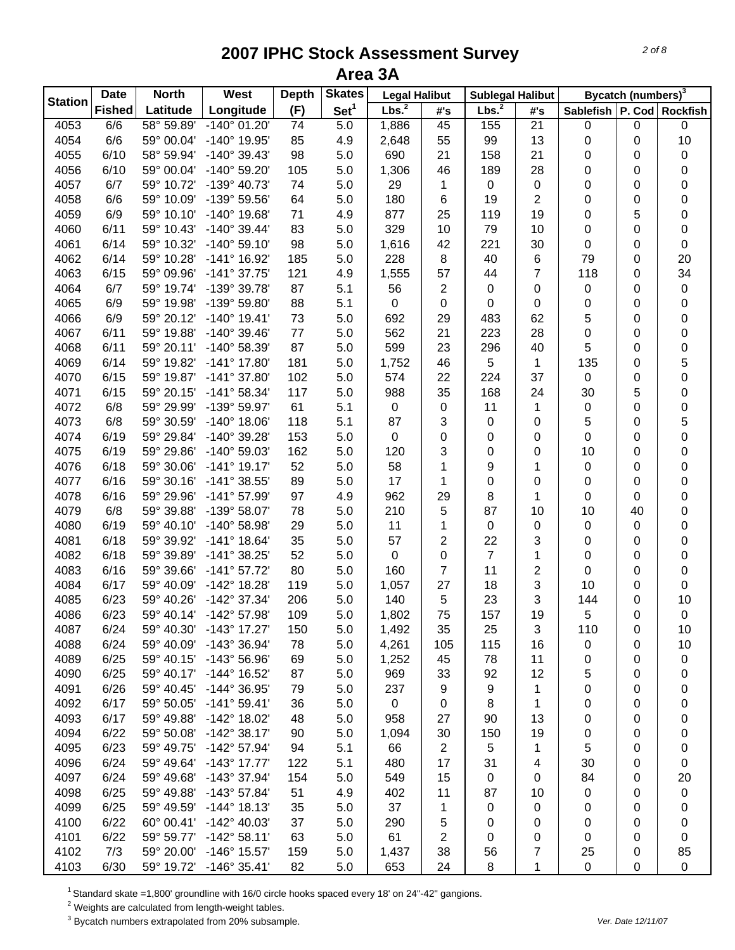| <b>Station</b> | <b>Date</b>   | <b>North</b> | West                  | <b>Depth</b> | <b>Skates</b>    | <b>Legal Halibut</b> |                | <b>Sublegal Halibut</b> |                |                               | Bycatch (numbers) <sup>3</sup> |             |
|----------------|---------------|--------------|-----------------------|--------------|------------------|----------------------|----------------|-------------------------|----------------|-------------------------------|--------------------------------|-------------|
|                | <b>Fished</b> | Latitude     | Longitude             | (F)          | Set <sup>1</sup> | Lbs. <sup>2</sup>    | #'s            | Lbs. <sup>2</sup>       | #'s            | Sablefish   P. Cod   Rockfish |                                |             |
| 4053           | 6/6           | 58° 59.89'   | $-140^{\circ}$ 01.20  | 74           | 5.0              | 1,886                | 45             | 155                     | 21             | 0                             | 0                              | $\mathbf 0$ |
| 4054           | 6/6           | 59° 00.04'   | -140° 19.95'          | 85           | 4.9              | 2,648                | 55             | 99                      | 13             | 0                             | 0                              | 10          |
| 4055           | 6/10          | 58° 59.94'   | $-140^{\circ}$ 39.43  | 98           | 5.0              | 690                  | 21             | 158                     | 21             | 0                             | 0                              | 0           |
| 4056           | 6/10          | 59° 00.04'   | $-140^{\circ}$ 59.20  | 105          | 5.0              | 1,306                | 46             | 189                     | 28             | 0                             | 0                              | 0           |
| 4057           | 6/7           | 59° 10.72'   | -139° 40.73'          | 74           | 5.0              | 29                   | 1              | $\pmb{0}$               | 0              | 0                             | 0                              | 0           |
| 4058           | 6/6           | 59° 10.09'   | -139° 59.56'          | 64           | 5.0              | 180                  | $\,6$          | 19                      | $\overline{2}$ | 0                             | 0                              | 0           |
| 4059           | 6/9           | 59° 10.10'   | $-140^{\circ}$ 19.68' | 71           | 4.9              | 877                  | 25             | 119                     | 19             | 0                             | 5                              | $\pmb{0}$   |
| 4060           | 6/11          | 59° 10.43'   | $-140^{\circ}$ 39.44' | 83           | 5.0              | 329                  | 10             | 79                      | 10             | 0                             | 0                              | $\pmb{0}$   |
| 4061           | 6/14          | 59° 10.32'   | $-140^{\circ} 59.10'$ | 98           | 5.0              | 1,616                | 42             | 221                     | 30             | $\pmb{0}$                     | 0                              | $\pmb{0}$   |
| 4062           | 6/14          | 59° 10.28'   | $-141^{\circ}$ 16.92' | 185          | 5.0              | 228                  | 8              | 40                      | 6              | 79                            | 0                              | 20          |
| 4063           | 6/15          | 59° 09.96'   | $-141°37.75'$         | 121          | 4.9              | 1,555                | 57             | 44                      | 7              | 118                           | 0                              | 34          |
| 4064           | 6/7           | 59° 19.74'   | -139° 39.78'          | 87           | 5.1              | 56                   | $\overline{2}$ | 0                       | 0              | 0                             | 0                              | $\pmb{0}$   |
| 4065           | 6/9           | 59° 19.98'   | -139° 59.80'          | 88           | 5.1              | $\mathbf 0$          | $\mathbf 0$    | 0                       | 0              | 0                             | 0                              | 0           |
| 4066           | 6/9           | 59° 20.12'   | $-140^{\circ}$ 19.41' | 73           | 5.0              | 692                  | 29             | 483                     | 62             | 5                             | 0                              | 0           |
| 4067           | 6/11          | 59° 19.88'   | $-140^{\circ}$ 39.46' | 77           | 5.0              | 562                  | 21             | 223                     | 28             | 0                             | 0                              | 0           |
| 4068           | 6/11          | 59° 20.11'   | -140° 58.39'          | 87           | 5.0              | 599                  | 23             | 296                     | 40             | 5                             | 0                              | 0           |
| 4069           | 6/14          | 59° 19.82'   | $-141^{\circ}$ 17.80  | 181          | 5.0              | 1,752                | 46             | 5                       | 1              | 135                           | 0                              | 5           |
| 4070           | 6/15          | 59° 19.87'   | $-141^{\circ}$ 37.80  | 102          | 5.0              | 574                  | 22             | 224                     | 37             | $\mathbf 0$                   | 0                              | 0           |
| 4071           | 6/15          | 59° 20.15'   | $-141^{\circ}58.34'$  | 117          | 5.0              | 988                  | 35             | 168                     | 24             | 30                            | 5                              | 0           |
| 4072           | 6/8           | 59° 29.99'   | -139° 59.97'          | 61           | 5.1              | $\pmb{0}$            | $\pmb{0}$      | 11                      | 1              | 0                             | 0                              | 0           |
| 4073           | 6/8           | 59° 30.59'   | $-140^{\circ}$ 18.06' | 118          | 5.1              | 87                   | 3              | 0                       | 0              | 5                             | 0                              | 5           |
| 4074           | 6/19          | 59° 29.84'   | -140° 39.28'          | 153          | 5.0              | $\pmb{0}$            | $\pmb{0}$      | 0                       | 0              | 0                             | 0                              | 0           |
| 4075           | 6/19          | 59° 29.86'   | $-140^{\circ}$ 59.03' | 162          | 5.0              | 120                  | 3              | 0                       | 0              | 10                            | 0                              | 0           |
| 4076           | 6/18          | 59° 30.06'   | $-141°$ 19.17         | 52           | 5.0              | 58                   | 1              | 9                       | 1              | $\pmb{0}$                     | 0                              | 0           |
| 4077           | 6/16          | 59° 30.16'   | $-141°38.55'$         | 89           | 5.0              | 17                   | 1              | 0                       | 0              | 0                             | 0                              | 0           |
| 4078           | 6/16          | 59° 29.96'   | $-141°57.99'$         | 97           | 4.9              | 962                  | 29             | 8                       | 1              | 0                             | 0                              | 0           |
| 4079           | 6/8           | 59° 39.88'   | -139° 58.07'          | 78           | 5.0              | 210                  | 5              | 87                      | 10             | 10                            | 40                             | 0           |
| 4080           | 6/19          | 59° 40.10'   | -140° 58.98'          | 29           | 5.0              | 11                   | 1              | $\pmb{0}$               | 0              | $\pmb{0}$                     | 0                              | 0           |
| 4081           | 6/18          | 59° 39.92'   | $-141°$ 18.64'        | 35           | 5.0              | 57                   | 2              | 22                      | 3              | 0                             | 0                              | 0           |
| 4082           | 6/18          | 59° 39.89'   | $-141°38.25'$         | 52           | 5.0              | $\pmb{0}$            | 0              | $\overline{7}$          | 1              | 0                             | 0                              | 0           |
| 4083           | 6/16          | 59° 39.66'   | $-141°57.72'$         | 80           | 5.0              | 160                  | 7              | 11                      | 2              | 0                             | 0                              | 0           |
| 4084           | 6/17          | 59° 40.09'   | -142° 18.28'          | 119          | 5.0              | 1,057                | 27             | 18                      | 3              | 10                            | 0                              | $\mathbf 0$ |
| 4085           | 6/23          | 59° 40.26'   | -142° 37.34'          | 206          | 5.0              | 140                  | 5              | 23                      | 3              | 144                           | 0                              | 10          |
| 4086           | 6/23          | 59° 40.14'   | -142° 57.98'          | 109          | 5.0              | 1,802                | 75             | 157                     | 19             | 5                             | 0                              | $\pmb{0}$   |
| 4087           | 6/24          | 59° 40.30'   | $-143^{\circ}$ 17.27  | 150          | 5.0              | 1,492                | 35             | 25                      | 3              | 110                           | 0                              | 10          |
| 4088           | 6/24          | 59° 40.09'   | $-143^{\circ}36.94'$  | 78           | 5.0              | 4,261                | 105            | 115                     | 16             | 0                             | 0                              | 10          |
| 4089           | 6/25          | 59° 40.15'   | $-143^{\circ} 56.96'$ | 69           | 5.0              | 1,252                | 45             | 78                      | 11             | 0                             | 0                              | 0           |
| 4090           | 6/25          | 59° 40.17'   | $-144^{\circ}$ 16.52' | 87           | 5.0              | 969                  | 33             | 92                      | 12             | 5                             | 0                              | 0           |
| 4091           | 6/26          | 59° 40.45'   | $-144^{\circ}$ 36.95' | 79           | 5.0              | 237                  | 9              | 9                       | 1              | 0                             | 0                              | 0           |
| 4092           | 6/17          | 59° 50.05'   | $-141^{\circ} 59.41'$ | 36           | 5.0              | $\mathbf 0$          | $\mathbf 0$    | 8                       | 1              | 0                             | 0                              | 0           |
| 4093           | 6/17          | 59° 49.88'   | -142° 18.02'          | 48           | 5.0              | 958                  | 27             | 90                      | 13             | 0                             | 0                              | 0           |
| 4094           | 6/22          | 59° 50.08'   | $-142^{\circ}$ 38.17' | 90           | 5.0              | 1,094                | 30             | 150                     | 19             | 0                             | 0                              | 0           |
| 4095           | 6/23          | 59° 49.75'   | $-142^{\circ}$ 57.94' | 94           | 5.1              | 66                   | $\overline{2}$ | 5                       | 1              | 5                             | 0                              | 0           |
| 4096           | 6/24          | 59° 49.64'   | $-143^{\circ}$ 17.77' | 122          | 5.1              | 480                  | 17             | 31                      | 4              | 30                            | 0                              | 0           |
| 4097           | 6/24          | 59° 49.68'   | $-143°37.94'$         | 154          | 5.0              | 549                  | 15             | 0                       | 0              | 84                            | 0                              | 20          |
| 4098           | 6/25          | 59° 49.88'   | $-143^{\circ}$ 57.84' | 51           | 4.9              | 402                  | 11             | 87                      | 10             | 0                             | 0                              | 0           |
| 4099           | 6/25          | 59° 49.59'   | $-144^{\circ}$ 18.13' | 35           | 5.0              | 37                   | 1              | 0                       | 0              | 0                             | 0                              | 0           |
| 4100           | 6/22          | 60° 00.41'   | $-142^{\circ}$ 40.03' | 37           | 5.0              | 290                  | 5              | 0                       | 0              | 0                             | 0                              | 0           |
| 4101           | 6/22          | 59° 59.77'   | $-142^{\circ}58.11'$  | 63           | 5.0              | 61                   | 2              | 0                       | 0              | 0                             | 0                              | 0           |
| 4102           | 7/3           | 59° 20.00'   | $-146^{\circ}$ 15.57' | 159          | 5.0              | 1,437                | 38             | 56                      | 7              | 25                            | 0                              | 85          |
| 4103           | 6/30          | 59° 19.72'   | $-146^{\circ}$ 35.41' | 82           | 5.0              | 653                  | 24             | 8                       | 1              | $\mathbf 0$                   | 0                              | $\mathbf 0$ |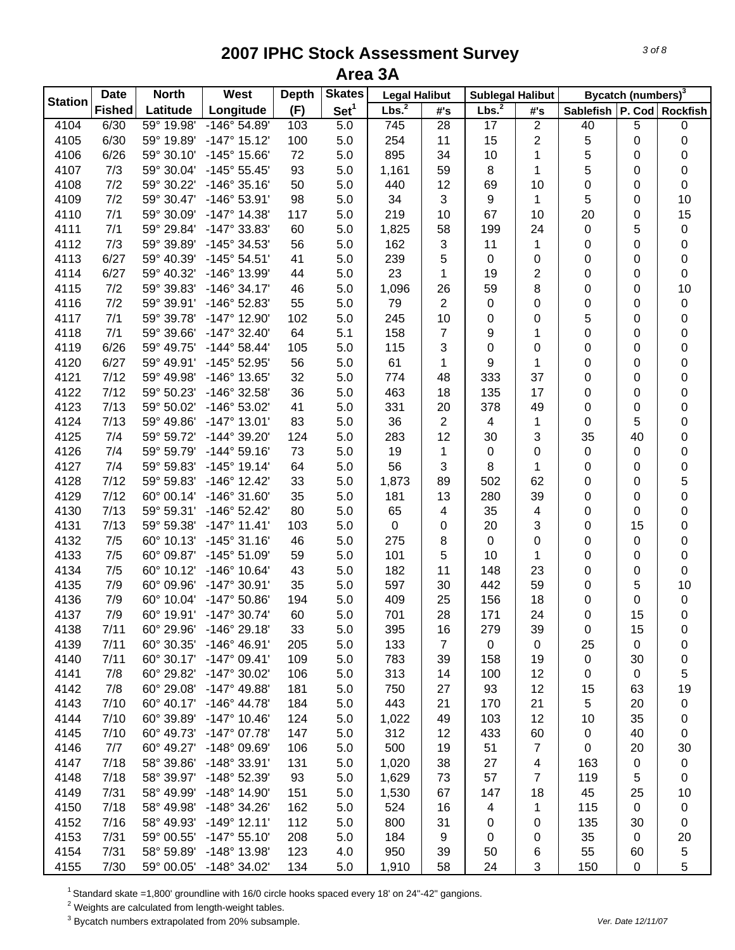| <b>Station</b><br>Lbs. <sup>2</sup><br>Set <sup>1</sup><br>Lbs. <sup>2</sup><br>Longitude<br>(F)<br>Sablefish   P. Cod   Rockfish<br><b>Fished</b><br>Latitude<br>#'s<br>#'s<br>59° 19.98'<br>$\overline{2}$<br>4104<br>6/30<br>-146° 54.89'<br>103<br>5.0<br>745<br>28<br>17<br>40<br>5<br>$\pmb{0}$<br>$\overline{2}$<br>4105<br>6/30<br>59° 19.89'<br>$-147°$ 15.12'<br>100<br>254<br>11<br>15<br>5<br>0<br>5.0<br>0<br>5<br>4106<br>6/26<br>59° 30.10'<br>-145° 15.66'<br>72<br>5.0<br>895<br>34<br>10<br>1<br>0<br>0<br>7/3<br>93<br>5<br>4107<br>59° 30.04'<br>$-145^{\circ} 55.45'$<br>5.0<br>1,161<br>59<br>8<br>1<br>0<br>0<br>7/2<br>50<br>4108<br>59° 30.22'<br>$-146°35.16'$<br>5.0<br>440<br>12<br>69<br>10<br>$\pmb{0}$<br>0<br>0<br>7/2<br>98<br>3<br>$\mathbf{1}$<br>5<br>10<br>4109<br>59° 30.47'<br>$-146°53.91'$<br>5.0<br>34<br>9<br>0<br>7/1<br>15<br>59° 30.09'<br>$-147^{\circ}$ 14.38'<br>117<br>5.0<br>219<br>10<br>67<br>10<br>20<br>0<br>4110<br>4111<br>7/1<br>59° 29.84'<br>-147° 33.83'<br>60<br>5.0<br>1,825<br>58<br>199<br>24<br>0<br>5<br>$\pmb{0}$<br>$\sqrt{3}$<br>1<br>4112<br>7/3<br>59° 39.89'<br>-145° 34.53'<br>56<br>5.0<br>162<br>11<br>0<br>0<br>$\pmb{0}$<br>6/27<br>41<br>5<br>4113<br>59° 40.39'<br>$-145°54.51'$<br>5.0<br>239<br>0<br>0<br>0<br>$\pmb{0}$<br>0<br>23<br>$\overline{2}$<br>6/27<br>59° 40.32'<br>-146° 13.99'<br>44<br>5.0<br>1<br>19<br>0<br>$\pmb{0}$<br>4114<br>0<br>59<br>8<br>4115<br>7/2<br>59° 39.83'<br>$-146°34.17'$<br>46<br>5.0<br>1,096<br>26<br>0<br>10<br>0<br>7/2<br>$\sqrt{2}$<br>4116<br>59° 39.91'<br>-146° 52.83'<br>55<br>5.0<br>79<br>0<br>0<br>0<br>$\pmb{0}$<br>0<br>7/1<br>5<br>4117<br>59° 39.78'<br>-147° 12.90'<br>102<br>5.0<br>245<br>10<br>0<br>0<br>0<br>0<br>158<br>4118<br>7/1<br>59° 39.66'<br>$-147^{\circ}$ 32.40<br>64<br>5.1<br>7<br>9<br>0<br>0<br>1<br>0<br>6/26<br>4119<br>59° 49.75'<br>$-144^{\circ} 58.44'$<br>105<br>5.0<br>115<br>3<br>0<br>0<br>0<br>0<br>0<br>6/27<br>4120<br>59° 49.91'<br>-145° 52.95'<br>56<br>5.0<br>61<br>9<br>0<br>1<br>0<br>0<br>1<br>7/12<br>32<br>37<br>4121<br>59° 49.98'<br>-146° 13.65'<br>5.0<br>774<br>333<br>0<br>48<br>0<br>0<br>7/12<br>36<br>4122<br>59° 50.23'<br>-146° 32.58'<br>5.0<br>463<br>18<br>135<br>17<br>0<br>0<br>0<br>7/13<br>4123<br>59° 50.02'<br>-146° 53.02'<br>41<br>5.0<br>331<br>20<br>378<br>49<br>0<br>0<br>0<br>7/13<br>83<br>$\overline{2}$<br>4124<br>59° 49.86'<br>$-147^{\circ}$ 13.01'<br>5.0<br>36<br>$\overline{\mathbf{4}}$<br>1<br>5<br>0<br>0<br>7/4<br>124<br>12<br>3<br>35<br>4125<br>59° 59.72'<br>-144° 39.20'<br>5.0<br>283<br>30<br>40<br>0<br>7/4<br>73<br>4126<br>59° 59.79'<br>$-144^{\circ} 59.16'$<br>5.0<br>19<br>$\mathbf{1}$<br>0<br>0<br>0<br>0<br>0<br>56<br>3<br>8<br>4127<br>7/4<br>59° 59.83'<br>$-145^{\circ}$ 19.14'<br>64<br>5.0<br>1<br>0<br>0<br>0<br>7/12<br>62<br>5<br>4128<br>59° 59.83'<br>$-146^{\circ}$ 12.42'<br>33<br>5.0<br>1,873<br>89<br>502<br>0<br>0<br>7/12<br>35<br>13<br>280<br>39<br>4129<br>60° 00.14'<br>$-146°31.60'$<br>5.0<br>181<br>0<br>0<br>0<br>7/13<br>80<br>35<br>$\overline{\mathbf{4}}$<br>4130<br>59° 59.31'<br>$-146°52.42'$<br>5.0<br>65<br>4<br>0<br>0<br>$\pmb{0}$<br>4131<br>7/13<br>59° 59.38'<br>$-147°$ 11.41'<br>103<br>5.0<br>$\pmb{0}$<br>20<br>3<br>0<br>15<br>0<br>$\pmb{0}$<br>4132<br>7/5<br>60° 10.13'<br>$-145°31.16'$<br>46<br>5.0<br>275<br>8<br>0<br>0<br>0<br>0<br>0<br>7/5<br>4133<br>60° 09.87'<br>$-145°51.09'$<br>59<br>5.0<br>101<br>5<br>10<br>$\pmb{0}$<br>1<br>0<br>0<br>7/5<br>4134<br>60° 10.12'<br>$-146^{\circ}$ 10.64'<br>43<br>5.0<br>182<br>11<br>148<br>23<br>0<br>$\mathbf 0$<br>0<br>4135<br>7/9<br>60° 09.96'<br>$-147°30.91'$<br>35<br>5.0<br>597<br>30<br>442<br>59<br>10<br>0<br>5<br>4136<br>7/9<br>60° 10.04'<br>$-147^{\circ}$ 50.86'<br>194<br>5.0<br>409<br>25<br>156<br>18<br>0<br>0<br>0<br>4137<br>7/9<br>60° 19.91'<br>$-147^{\circ}$ 30.74'<br>60<br>5.0<br>701<br>28<br>171<br>24<br>0<br>15<br>$\pmb{0}$<br>60° 29.96'<br>$-146°$ 29.18'<br>4138<br>7/11<br>5.0<br>395<br>33<br>16<br>279<br>39<br>0<br>15<br>0<br>4139<br>$\overline{7}$<br>7/11<br>60° 30.35'<br>$-146^{\circ}$ 46.91'<br>205<br>5.0<br>133<br>$\mathbf 0$<br>$\mathbf 0$<br>25<br>0<br>0<br>7/11<br>60° 30.17'<br>$-147°09.41'$<br>109<br>783<br>4140<br>5.0<br>39<br>158<br>19<br>0<br>30<br>0 |
|---------------------------------------------------------------------------------------------------------------------------------------------------------------------------------------------------------------------------------------------------------------------------------------------------------------------------------------------------------------------------------------------------------------------------------------------------------------------------------------------------------------------------------------------------------------------------------------------------------------------------------------------------------------------------------------------------------------------------------------------------------------------------------------------------------------------------------------------------------------------------------------------------------------------------------------------------------------------------------------------------------------------------------------------------------------------------------------------------------------------------------------------------------------------------------------------------------------------------------------------------------------------------------------------------------------------------------------------------------------------------------------------------------------------------------------------------------------------------------------------------------------------------------------------------------------------------------------------------------------------------------------------------------------------------------------------------------------------------------------------------------------------------------------------------------------------------------------------------------------------------------------------------------------------------------------------------------------------------------------------------------------------------------------------------------------------------------------------------------------------------------------------------------------------------------------------------------------------------------------------------------------------------------------------------------------------------------------------------------------------------------------------------------------------------------------------------------------------------------------------------------------------------------------------------------------------------------------------------------------------------------------------------------------------------------------------------------------------------------------------------------------------------------------------------------------------------------------------------------------------------------------------------------------------------------------------------------------------------------------------------------------------------------------------------------------------------------------------------------------------------------------------------------------------------------------------------------------------------------------------------------------------------------------------------------------------------------------------------------------------------------------------------------------------------------------------------------------------------------------------------------------------------------------------------------------------------------------------------------------------------------------------------------------------------------------------------------------------------------------------------------------------------------------------------------------------------------------------------------------------------------------------------------------------------------------------------------------------------------------------------------------------------------------------------------------------------------------------------------------------------------------------------------------------------------------------------------------------------------------------------------------------------------------------------------------------------------------------------------------------|
|                                                                                                                                                                                                                                                                                                                                                                                                                                                                                                                                                                                                                                                                                                                                                                                                                                                                                                                                                                                                                                                                                                                                                                                                                                                                                                                                                                                                                                                                                                                                                                                                                                                                                                                                                                                                                                                                                                                                                                                                                                                                                                                                                                                                                                                                                                                                                                                                                                                                                                                                                                                                                                                                                                                                                                                                                                                                                                                                                                                                                                                                                                                                                                                                                                                                                                                                                                                                                                                                                                                                                                                                                                                                                                                                                                                                                                                                                                                                                                                                                                                                                                                                                                                                                                                                                                                                                                     |
|                                                                                                                                                                                                                                                                                                                                                                                                                                                                                                                                                                                                                                                                                                                                                                                                                                                                                                                                                                                                                                                                                                                                                                                                                                                                                                                                                                                                                                                                                                                                                                                                                                                                                                                                                                                                                                                                                                                                                                                                                                                                                                                                                                                                                                                                                                                                                                                                                                                                                                                                                                                                                                                                                                                                                                                                                                                                                                                                                                                                                                                                                                                                                                                                                                                                                                                                                                                                                                                                                                                                                                                                                                                                                                                                                                                                                                                                                                                                                                                                                                                                                                                                                                                                                                                                                                                                                                     |
|                                                                                                                                                                                                                                                                                                                                                                                                                                                                                                                                                                                                                                                                                                                                                                                                                                                                                                                                                                                                                                                                                                                                                                                                                                                                                                                                                                                                                                                                                                                                                                                                                                                                                                                                                                                                                                                                                                                                                                                                                                                                                                                                                                                                                                                                                                                                                                                                                                                                                                                                                                                                                                                                                                                                                                                                                                                                                                                                                                                                                                                                                                                                                                                                                                                                                                                                                                                                                                                                                                                                                                                                                                                                                                                                                                                                                                                                                                                                                                                                                                                                                                                                                                                                                                                                                                                                                                     |
|                                                                                                                                                                                                                                                                                                                                                                                                                                                                                                                                                                                                                                                                                                                                                                                                                                                                                                                                                                                                                                                                                                                                                                                                                                                                                                                                                                                                                                                                                                                                                                                                                                                                                                                                                                                                                                                                                                                                                                                                                                                                                                                                                                                                                                                                                                                                                                                                                                                                                                                                                                                                                                                                                                                                                                                                                                                                                                                                                                                                                                                                                                                                                                                                                                                                                                                                                                                                                                                                                                                                                                                                                                                                                                                                                                                                                                                                                                                                                                                                                                                                                                                                                                                                                                                                                                                                                                     |
|                                                                                                                                                                                                                                                                                                                                                                                                                                                                                                                                                                                                                                                                                                                                                                                                                                                                                                                                                                                                                                                                                                                                                                                                                                                                                                                                                                                                                                                                                                                                                                                                                                                                                                                                                                                                                                                                                                                                                                                                                                                                                                                                                                                                                                                                                                                                                                                                                                                                                                                                                                                                                                                                                                                                                                                                                                                                                                                                                                                                                                                                                                                                                                                                                                                                                                                                                                                                                                                                                                                                                                                                                                                                                                                                                                                                                                                                                                                                                                                                                                                                                                                                                                                                                                                                                                                                                                     |
|                                                                                                                                                                                                                                                                                                                                                                                                                                                                                                                                                                                                                                                                                                                                                                                                                                                                                                                                                                                                                                                                                                                                                                                                                                                                                                                                                                                                                                                                                                                                                                                                                                                                                                                                                                                                                                                                                                                                                                                                                                                                                                                                                                                                                                                                                                                                                                                                                                                                                                                                                                                                                                                                                                                                                                                                                                                                                                                                                                                                                                                                                                                                                                                                                                                                                                                                                                                                                                                                                                                                                                                                                                                                                                                                                                                                                                                                                                                                                                                                                                                                                                                                                                                                                                                                                                                                                                     |
|                                                                                                                                                                                                                                                                                                                                                                                                                                                                                                                                                                                                                                                                                                                                                                                                                                                                                                                                                                                                                                                                                                                                                                                                                                                                                                                                                                                                                                                                                                                                                                                                                                                                                                                                                                                                                                                                                                                                                                                                                                                                                                                                                                                                                                                                                                                                                                                                                                                                                                                                                                                                                                                                                                                                                                                                                                                                                                                                                                                                                                                                                                                                                                                                                                                                                                                                                                                                                                                                                                                                                                                                                                                                                                                                                                                                                                                                                                                                                                                                                                                                                                                                                                                                                                                                                                                                                                     |
|                                                                                                                                                                                                                                                                                                                                                                                                                                                                                                                                                                                                                                                                                                                                                                                                                                                                                                                                                                                                                                                                                                                                                                                                                                                                                                                                                                                                                                                                                                                                                                                                                                                                                                                                                                                                                                                                                                                                                                                                                                                                                                                                                                                                                                                                                                                                                                                                                                                                                                                                                                                                                                                                                                                                                                                                                                                                                                                                                                                                                                                                                                                                                                                                                                                                                                                                                                                                                                                                                                                                                                                                                                                                                                                                                                                                                                                                                                                                                                                                                                                                                                                                                                                                                                                                                                                                                                     |
|                                                                                                                                                                                                                                                                                                                                                                                                                                                                                                                                                                                                                                                                                                                                                                                                                                                                                                                                                                                                                                                                                                                                                                                                                                                                                                                                                                                                                                                                                                                                                                                                                                                                                                                                                                                                                                                                                                                                                                                                                                                                                                                                                                                                                                                                                                                                                                                                                                                                                                                                                                                                                                                                                                                                                                                                                                                                                                                                                                                                                                                                                                                                                                                                                                                                                                                                                                                                                                                                                                                                                                                                                                                                                                                                                                                                                                                                                                                                                                                                                                                                                                                                                                                                                                                                                                                                                                     |
|                                                                                                                                                                                                                                                                                                                                                                                                                                                                                                                                                                                                                                                                                                                                                                                                                                                                                                                                                                                                                                                                                                                                                                                                                                                                                                                                                                                                                                                                                                                                                                                                                                                                                                                                                                                                                                                                                                                                                                                                                                                                                                                                                                                                                                                                                                                                                                                                                                                                                                                                                                                                                                                                                                                                                                                                                                                                                                                                                                                                                                                                                                                                                                                                                                                                                                                                                                                                                                                                                                                                                                                                                                                                                                                                                                                                                                                                                                                                                                                                                                                                                                                                                                                                                                                                                                                                                                     |
|                                                                                                                                                                                                                                                                                                                                                                                                                                                                                                                                                                                                                                                                                                                                                                                                                                                                                                                                                                                                                                                                                                                                                                                                                                                                                                                                                                                                                                                                                                                                                                                                                                                                                                                                                                                                                                                                                                                                                                                                                                                                                                                                                                                                                                                                                                                                                                                                                                                                                                                                                                                                                                                                                                                                                                                                                                                                                                                                                                                                                                                                                                                                                                                                                                                                                                                                                                                                                                                                                                                                                                                                                                                                                                                                                                                                                                                                                                                                                                                                                                                                                                                                                                                                                                                                                                                                                                     |
|                                                                                                                                                                                                                                                                                                                                                                                                                                                                                                                                                                                                                                                                                                                                                                                                                                                                                                                                                                                                                                                                                                                                                                                                                                                                                                                                                                                                                                                                                                                                                                                                                                                                                                                                                                                                                                                                                                                                                                                                                                                                                                                                                                                                                                                                                                                                                                                                                                                                                                                                                                                                                                                                                                                                                                                                                                                                                                                                                                                                                                                                                                                                                                                                                                                                                                                                                                                                                                                                                                                                                                                                                                                                                                                                                                                                                                                                                                                                                                                                                                                                                                                                                                                                                                                                                                                                                                     |
|                                                                                                                                                                                                                                                                                                                                                                                                                                                                                                                                                                                                                                                                                                                                                                                                                                                                                                                                                                                                                                                                                                                                                                                                                                                                                                                                                                                                                                                                                                                                                                                                                                                                                                                                                                                                                                                                                                                                                                                                                                                                                                                                                                                                                                                                                                                                                                                                                                                                                                                                                                                                                                                                                                                                                                                                                                                                                                                                                                                                                                                                                                                                                                                                                                                                                                                                                                                                                                                                                                                                                                                                                                                                                                                                                                                                                                                                                                                                                                                                                                                                                                                                                                                                                                                                                                                                                                     |
|                                                                                                                                                                                                                                                                                                                                                                                                                                                                                                                                                                                                                                                                                                                                                                                                                                                                                                                                                                                                                                                                                                                                                                                                                                                                                                                                                                                                                                                                                                                                                                                                                                                                                                                                                                                                                                                                                                                                                                                                                                                                                                                                                                                                                                                                                                                                                                                                                                                                                                                                                                                                                                                                                                                                                                                                                                                                                                                                                                                                                                                                                                                                                                                                                                                                                                                                                                                                                                                                                                                                                                                                                                                                                                                                                                                                                                                                                                                                                                                                                                                                                                                                                                                                                                                                                                                                                                     |
|                                                                                                                                                                                                                                                                                                                                                                                                                                                                                                                                                                                                                                                                                                                                                                                                                                                                                                                                                                                                                                                                                                                                                                                                                                                                                                                                                                                                                                                                                                                                                                                                                                                                                                                                                                                                                                                                                                                                                                                                                                                                                                                                                                                                                                                                                                                                                                                                                                                                                                                                                                                                                                                                                                                                                                                                                                                                                                                                                                                                                                                                                                                                                                                                                                                                                                                                                                                                                                                                                                                                                                                                                                                                                                                                                                                                                                                                                                                                                                                                                                                                                                                                                                                                                                                                                                                                                                     |
|                                                                                                                                                                                                                                                                                                                                                                                                                                                                                                                                                                                                                                                                                                                                                                                                                                                                                                                                                                                                                                                                                                                                                                                                                                                                                                                                                                                                                                                                                                                                                                                                                                                                                                                                                                                                                                                                                                                                                                                                                                                                                                                                                                                                                                                                                                                                                                                                                                                                                                                                                                                                                                                                                                                                                                                                                                                                                                                                                                                                                                                                                                                                                                                                                                                                                                                                                                                                                                                                                                                                                                                                                                                                                                                                                                                                                                                                                                                                                                                                                                                                                                                                                                                                                                                                                                                                                                     |
|                                                                                                                                                                                                                                                                                                                                                                                                                                                                                                                                                                                                                                                                                                                                                                                                                                                                                                                                                                                                                                                                                                                                                                                                                                                                                                                                                                                                                                                                                                                                                                                                                                                                                                                                                                                                                                                                                                                                                                                                                                                                                                                                                                                                                                                                                                                                                                                                                                                                                                                                                                                                                                                                                                                                                                                                                                                                                                                                                                                                                                                                                                                                                                                                                                                                                                                                                                                                                                                                                                                                                                                                                                                                                                                                                                                                                                                                                                                                                                                                                                                                                                                                                                                                                                                                                                                                                                     |
|                                                                                                                                                                                                                                                                                                                                                                                                                                                                                                                                                                                                                                                                                                                                                                                                                                                                                                                                                                                                                                                                                                                                                                                                                                                                                                                                                                                                                                                                                                                                                                                                                                                                                                                                                                                                                                                                                                                                                                                                                                                                                                                                                                                                                                                                                                                                                                                                                                                                                                                                                                                                                                                                                                                                                                                                                                                                                                                                                                                                                                                                                                                                                                                                                                                                                                                                                                                                                                                                                                                                                                                                                                                                                                                                                                                                                                                                                                                                                                                                                                                                                                                                                                                                                                                                                                                                                                     |
|                                                                                                                                                                                                                                                                                                                                                                                                                                                                                                                                                                                                                                                                                                                                                                                                                                                                                                                                                                                                                                                                                                                                                                                                                                                                                                                                                                                                                                                                                                                                                                                                                                                                                                                                                                                                                                                                                                                                                                                                                                                                                                                                                                                                                                                                                                                                                                                                                                                                                                                                                                                                                                                                                                                                                                                                                                                                                                                                                                                                                                                                                                                                                                                                                                                                                                                                                                                                                                                                                                                                                                                                                                                                                                                                                                                                                                                                                                                                                                                                                                                                                                                                                                                                                                                                                                                                                                     |
|                                                                                                                                                                                                                                                                                                                                                                                                                                                                                                                                                                                                                                                                                                                                                                                                                                                                                                                                                                                                                                                                                                                                                                                                                                                                                                                                                                                                                                                                                                                                                                                                                                                                                                                                                                                                                                                                                                                                                                                                                                                                                                                                                                                                                                                                                                                                                                                                                                                                                                                                                                                                                                                                                                                                                                                                                                                                                                                                                                                                                                                                                                                                                                                                                                                                                                                                                                                                                                                                                                                                                                                                                                                                                                                                                                                                                                                                                                                                                                                                                                                                                                                                                                                                                                                                                                                                                                     |
|                                                                                                                                                                                                                                                                                                                                                                                                                                                                                                                                                                                                                                                                                                                                                                                                                                                                                                                                                                                                                                                                                                                                                                                                                                                                                                                                                                                                                                                                                                                                                                                                                                                                                                                                                                                                                                                                                                                                                                                                                                                                                                                                                                                                                                                                                                                                                                                                                                                                                                                                                                                                                                                                                                                                                                                                                                                                                                                                                                                                                                                                                                                                                                                                                                                                                                                                                                                                                                                                                                                                                                                                                                                                                                                                                                                                                                                                                                                                                                                                                                                                                                                                                                                                                                                                                                                                                                     |
|                                                                                                                                                                                                                                                                                                                                                                                                                                                                                                                                                                                                                                                                                                                                                                                                                                                                                                                                                                                                                                                                                                                                                                                                                                                                                                                                                                                                                                                                                                                                                                                                                                                                                                                                                                                                                                                                                                                                                                                                                                                                                                                                                                                                                                                                                                                                                                                                                                                                                                                                                                                                                                                                                                                                                                                                                                                                                                                                                                                                                                                                                                                                                                                                                                                                                                                                                                                                                                                                                                                                                                                                                                                                                                                                                                                                                                                                                                                                                                                                                                                                                                                                                                                                                                                                                                                                                                     |
|                                                                                                                                                                                                                                                                                                                                                                                                                                                                                                                                                                                                                                                                                                                                                                                                                                                                                                                                                                                                                                                                                                                                                                                                                                                                                                                                                                                                                                                                                                                                                                                                                                                                                                                                                                                                                                                                                                                                                                                                                                                                                                                                                                                                                                                                                                                                                                                                                                                                                                                                                                                                                                                                                                                                                                                                                                                                                                                                                                                                                                                                                                                                                                                                                                                                                                                                                                                                                                                                                                                                                                                                                                                                                                                                                                                                                                                                                                                                                                                                                                                                                                                                                                                                                                                                                                                                                                     |
|                                                                                                                                                                                                                                                                                                                                                                                                                                                                                                                                                                                                                                                                                                                                                                                                                                                                                                                                                                                                                                                                                                                                                                                                                                                                                                                                                                                                                                                                                                                                                                                                                                                                                                                                                                                                                                                                                                                                                                                                                                                                                                                                                                                                                                                                                                                                                                                                                                                                                                                                                                                                                                                                                                                                                                                                                                                                                                                                                                                                                                                                                                                                                                                                                                                                                                                                                                                                                                                                                                                                                                                                                                                                                                                                                                                                                                                                                                                                                                                                                                                                                                                                                                                                                                                                                                                                                                     |
|                                                                                                                                                                                                                                                                                                                                                                                                                                                                                                                                                                                                                                                                                                                                                                                                                                                                                                                                                                                                                                                                                                                                                                                                                                                                                                                                                                                                                                                                                                                                                                                                                                                                                                                                                                                                                                                                                                                                                                                                                                                                                                                                                                                                                                                                                                                                                                                                                                                                                                                                                                                                                                                                                                                                                                                                                                                                                                                                                                                                                                                                                                                                                                                                                                                                                                                                                                                                                                                                                                                                                                                                                                                                                                                                                                                                                                                                                                                                                                                                                                                                                                                                                                                                                                                                                                                                                                     |
|                                                                                                                                                                                                                                                                                                                                                                                                                                                                                                                                                                                                                                                                                                                                                                                                                                                                                                                                                                                                                                                                                                                                                                                                                                                                                                                                                                                                                                                                                                                                                                                                                                                                                                                                                                                                                                                                                                                                                                                                                                                                                                                                                                                                                                                                                                                                                                                                                                                                                                                                                                                                                                                                                                                                                                                                                                                                                                                                                                                                                                                                                                                                                                                                                                                                                                                                                                                                                                                                                                                                                                                                                                                                                                                                                                                                                                                                                                                                                                                                                                                                                                                                                                                                                                                                                                                                                                     |
|                                                                                                                                                                                                                                                                                                                                                                                                                                                                                                                                                                                                                                                                                                                                                                                                                                                                                                                                                                                                                                                                                                                                                                                                                                                                                                                                                                                                                                                                                                                                                                                                                                                                                                                                                                                                                                                                                                                                                                                                                                                                                                                                                                                                                                                                                                                                                                                                                                                                                                                                                                                                                                                                                                                                                                                                                                                                                                                                                                                                                                                                                                                                                                                                                                                                                                                                                                                                                                                                                                                                                                                                                                                                                                                                                                                                                                                                                                                                                                                                                                                                                                                                                                                                                                                                                                                                                                     |
|                                                                                                                                                                                                                                                                                                                                                                                                                                                                                                                                                                                                                                                                                                                                                                                                                                                                                                                                                                                                                                                                                                                                                                                                                                                                                                                                                                                                                                                                                                                                                                                                                                                                                                                                                                                                                                                                                                                                                                                                                                                                                                                                                                                                                                                                                                                                                                                                                                                                                                                                                                                                                                                                                                                                                                                                                                                                                                                                                                                                                                                                                                                                                                                                                                                                                                                                                                                                                                                                                                                                                                                                                                                                                                                                                                                                                                                                                                                                                                                                                                                                                                                                                                                                                                                                                                                                                                     |
|                                                                                                                                                                                                                                                                                                                                                                                                                                                                                                                                                                                                                                                                                                                                                                                                                                                                                                                                                                                                                                                                                                                                                                                                                                                                                                                                                                                                                                                                                                                                                                                                                                                                                                                                                                                                                                                                                                                                                                                                                                                                                                                                                                                                                                                                                                                                                                                                                                                                                                                                                                                                                                                                                                                                                                                                                                                                                                                                                                                                                                                                                                                                                                                                                                                                                                                                                                                                                                                                                                                                                                                                                                                                                                                                                                                                                                                                                                                                                                                                                                                                                                                                                                                                                                                                                                                                                                     |
|                                                                                                                                                                                                                                                                                                                                                                                                                                                                                                                                                                                                                                                                                                                                                                                                                                                                                                                                                                                                                                                                                                                                                                                                                                                                                                                                                                                                                                                                                                                                                                                                                                                                                                                                                                                                                                                                                                                                                                                                                                                                                                                                                                                                                                                                                                                                                                                                                                                                                                                                                                                                                                                                                                                                                                                                                                                                                                                                                                                                                                                                                                                                                                                                                                                                                                                                                                                                                                                                                                                                                                                                                                                                                                                                                                                                                                                                                                                                                                                                                                                                                                                                                                                                                                                                                                                                                                     |
|                                                                                                                                                                                                                                                                                                                                                                                                                                                                                                                                                                                                                                                                                                                                                                                                                                                                                                                                                                                                                                                                                                                                                                                                                                                                                                                                                                                                                                                                                                                                                                                                                                                                                                                                                                                                                                                                                                                                                                                                                                                                                                                                                                                                                                                                                                                                                                                                                                                                                                                                                                                                                                                                                                                                                                                                                                                                                                                                                                                                                                                                                                                                                                                                                                                                                                                                                                                                                                                                                                                                                                                                                                                                                                                                                                                                                                                                                                                                                                                                                                                                                                                                                                                                                                                                                                                                                                     |
|                                                                                                                                                                                                                                                                                                                                                                                                                                                                                                                                                                                                                                                                                                                                                                                                                                                                                                                                                                                                                                                                                                                                                                                                                                                                                                                                                                                                                                                                                                                                                                                                                                                                                                                                                                                                                                                                                                                                                                                                                                                                                                                                                                                                                                                                                                                                                                                                                                                                                                                                                                                                                                                                                                                                                                                                                                                                                                                                                                                                                                                                                                                                                                                                                                                                                                                                                                                                                                                                                                                                                                                                                                                                                                                                                                                                                                                                                                                                                                                                                                                                                                                                                                                                                                                                                                                                                                     |
|                                                                                                                                                                                                                                                                                                                                                                                                                                                                                                                                                                                                                                                                                                                                                                                                                                                                                                                                                                                                                                                                                                                                                                                                                                                                                                                                                                                                                                                                                                                                                                                                                                                                                                                                                                                                                                                                                                                                                                                                                                                                                                                                                                                                                                                                                                                                                                                                                                                                                                                                                                                                                                                                                                                                                                                                                                                                                                                                                                                                                                                                                                                                                                                                                                                                                                                                                                                                                                                                                                                                                                                                                                                                                                                                                                                                                                                                                                                                                                                                                                                                                                                                                                                                                                                                                                                                                                     |
|                                                                                                                                                                                                                                                                                                                                                                                                                                                                                                                                                                                                                                                                                                                                                                                                                                                                                                                                                                                                                                                                                                                                                                                                                                                                                                                                                                                                                                                                                                                                                                                                                                                                                                                                                                                                                                                                                                                                                                                                                                                                                                                                                                                                                                                                                                                                                                                                                                                                                                                                                                                                                                                                                                                                                                                                                                                                                                                                                                                                                                                                                                                                                                                                                                                                                                                                                                                                                                                                                                                                                                                                                                                                                                                                                                                                                                                                                                                                                                                                                                                                                                                                                                                                                                                                                                                                                                     |
|                                                                                                                                                                                                                                                                                                                                                                                                                                                                                                                                                                                                                                                                                                                                                                                                                                                                                                                                                                                                                                                                                                                                                                                                                                                                                                                                                                                                                                                                                                                                                                                                                                                                                                                                                                                                                                                                                                                                                                                                                                                                                                                                                                                                                                                                                                                                                                                                                                                                                                                                                                                                                                                                                                                                                                                                                                                                                                                                                                                                                                                                                                                                                                                                                                                                                                                                                                                                                                                                                                                                                                                                                                                                                                                                                                                                                                                                                                                                                                                                                                                                                                                                                                                                                                                                                                                                                                     |
|                                                                                                                                                                                                                                                                                                                                                                                                                                                                                                                                                                                                                                                                                                                                                                                                                                                                                                                                                                                                                                                                                                                                                                                                                                                                                                                                                                                                                                                                                                                                                                                                                                                                                                                                                                                                                                                                                                                                                                                                                                                                                                                                                                                                                                                                                                                                                                                                                                                                                                                                                                                                                                                                                                                                                                                                                                                                                                                                                                                                                                                                                                                                                                                                                                                                                                                                                                                                                                                                                                                                                                                                                                                                                                                                                                                                                                                                                                                                                                                                                                                                                                                                                                                                                                                                                                                                                                     |
|                                                                                                                                                                                                                                                                                                                                                                                                                                                                                                                                                                                                                                                                                                                                                                                                                                                                                                                                                                                                                                                                                                                                                                                                                                                                                                                                                                                                                                                                                                                                                                                                                                                                                                                                                                                                                                                                                                                                                                                                                                                                                                                                                                                                                                                                                                                                                                                                                                                                                                                                                                                                                                                                                                                                                                                                                                                                                                                                                                                                                                                                                                                                                                                                                                                                                                                                                                                                                                                                                                                                                                                                                                                                                                                                                                                                                                                                                                                                                                                                                                                                                                                                                                                                                                                                                                                                                                     |
|                                                                                                                                                                                                                                                                                                                                                                                                                                                                                                                                                                                                                                                                                                                                                                                                                                                                                                                                                                                                                                                                                                                                                                                                                                                                                                                                                                                                                                                                                                                                                                                                                                                                                                                                                                                                                                                                                                                                                                                                                                                                                                                                                                                                                                                                                                                                                                                                                                                                                                                                                                                                                                                                                                                                                                                                                                                                                                                                                                                                                                                                                                                                                                                                                                                                                                                                                                                                                                                                                                                                                                                                                                                                                                                                                                                                                                                                                                                                                                                                                                                                                                                                                                                                                                                                                                                                                                     |
| 7/8<br>60° 29.82'<br>$-147^{\circ}$ 30.02'<br>313<br>5<br>4141<br>106<br>5.0<br>14<br>100<br>12<br>0<br>0                                                                                                                                                                                                                                                                                                                                                                                                                                                                                                                                                                                                                                                                                                                                                                                                                                                                                                                                                                                                                                                                                                                                                                                                                                                                                                                                                                                                                                                                                                                                                                                                                                                                                                                                                                                                                                                                                                                                                                                                                                                                                                                                                                                                                                                                                                                                                                                                                                                                                                                                                                                                                                                                                                                                                                                                                                                                                                                                                                                                                                                                                                                                                                                                                                                                                                                                                                                                                                                                                                                                                                                                                                                                                                                                                                                                                                                                                                                                                                                                                                                                                                                                                                                                                                                           |
| 7/8<br>60° 29.08'<br>181<br>27<br>93<br>12<br>4142<br>$-147^{\circ}$ 49.88'<br>5.0<br>750<br>15<br>63<br>19                                                                                                                                                                                                                                                                                                                                                                                                                                                                                                                                                                                                                                                                                                                                                                                                                                                                                                                                                                                                                                                                                                                                                                                                                                                                                                                                                                                                                                                                                                                                                                                                                                                                                                                                                                                                                                                                                                                                                                                                                                                                                                                                                                                                                                                                                                                                                                                                                                                                                                                                                                                                                                                                                                                                                                                                                                                                                                                                                                                                                                                                                                                                                                                                                                                                                                                                                                                                                                                                                                                                                                                                                                                                                                                                                                                                                                                                                                                                                                                                                                                                                                                                                                                                                                                         |
| 7/10<br>60° 40.17'<br>443<br>21<br>170<br>21<br>5<br>4143<br>$-146^{\circ}$ 44.78'<br>184<br>5.0<br>20<br>0                                                                                                                                                                                                                                                                                                                                                                                                                                                                                                                                                                                                                                                                                                                                                                                                                                                                                                                                                                                                                                                                                                                                                                                                                                                                                                                                                                                                                                                                                                                                                                                                                                                                                                                                                                                                                                                                                                                                                                                                                                                                                                                                                                                                                                                                                                                                                                                                                                                                                                                                                                                                                                                                                                                                                                                                                                                                                                                                                                                                                                                                                                                                                                                                                                                                                                                                                                                                                                                                                                                                                                                                                                                                                                                                                                                                                                                                                                                                                                                                                                                                                                                                                                                                                                                         |
| 7/10<br>60° 39.89'<br>$-147^{\circ}$ 10.46'<br>124<br>49<br>103<br>12<br>35<br>4144<br>5.0<br>1,022<br>10<br>0                                                                                                                                                                                                                                                                                                                                                                                                                                                                                                                                                                                                                                                                                                                                                                                                                                                                                                                                                                                                                                                                                                                                                                                                                                                                                                                                                                                                                                                                                                                                                                                                                                                                                                                                                                                                                                                                                                                                                                                                                                                                                                                                                                                                                                                                                                                                                                                                                                                                                                                                                                                                                                                                                                                                                                                                                                                                                                                                                                                                                                                                                                                                                                                                                                                                                                                                                                                                                                                                                                                                                                                                                                                                                                                                                                                                                                                                                                                                                                                                                                                                                                                                                                                                                                                      |
| 7/10<br>60° 49.73'<br>147<br>5.0<br>312<br>12<br>433<br>40<br>4145<br>$-147^{\circ}$ 07.78'<br>60<br>$\mathbf 0$<br>0                                                                                                                                                                                                                                                                                                                                                                                                                                                                                                                                                                                                                                                                                                                                                                                                                                                                                                                                                                                                                                                                                                                                                                                                                                                                                                                                                                                                                                                                                                                                                                                                                                                                                                                                                                                                                                                                                                                                                                                                                                                                                                                                                                                                                                                                                                                                                                                                                                                                                                                                                                                                                                                                                                                                                                                                                                                                                                                                                                                                                                                                                                                                                                                                                                                                                                                                                                                                                                                                                                                                                                                                                                                                                                                                                                                                                                                                                                                                                                                                                                                                                                                                                                                                                                               |
| 7/7<br>60° 49.27'<br>-148° 09.69'<br>106<br>500<br>19<br>51<br>$\overline{7}$<br>4146<br>5.0<br>$\mathbf 0$<br>20<br>30                                                                                                                                                                                                                                                                                                                                                                                                                                                                                                                                                                                                                                                                                                                                                                                                                                                                                                                                                                                                                                                                                                                                                                                                                                                                                                                                                                                                                                                                                                                                                                                                                                                                                                                                                                                                                                                                                                                                                                                                                                                                                                                                                                                                                                                                                                                                                                                                                                                                                                                                                                                                                                                                                                                                                                                                                                                                                                                                                                                                                                                                                                                                                                                                                                                                                                                                                                                                                                                                                                                                                                                                                                                                                                                                                                                                                                                                                                                                                                                                                                                                                                                                                                                                                                             |
| 7/18<br>58° 39.86'<br>-148° 33.91'<br>1,020<br>38<br>4147<br>131<br>5.0<br>27<br>4<br>163<br>0<br>0                                                                                                                                                                                                                                                                                                                                                                                                                                                                                                                                                                                                                                                                                                                                                                                                                                                                                                                                                                                                                                                                                                                                                                                                                                                                                                                                                                                                                                                                                                                                                                                                                                                                                                                                                                                                                                                                                                                                                                                                                                                                                                                                                                                                                                                                                                                                                                                                                                                                                                                                                                                                                                                                                                                                                                                                                                                                                                                                                                                                                                                                                                                                                                                                                                                                                                                                                                                                                                                                                                                                                                                                                                                                                                                                                                                                                                                                                                                                                                                                                                                                                                                                                                                                                                                                 |
| 4148<br>7/18<br>58° 39.97'<br>$-148°52.39'$<br>93<br>57<br>$\overline{7}$<br>5<br>5.0<br>1,629<br>73<br>119<br>0                                                                                                                                                                                                                                                                                                                                                                                                                                                                                                                                                                                                                                                                                                                                                                                                                                                                                                                                                                                                                                                                                                                                                                                                                                                                                                                                                                                                                                                                                                                                                                                                                                                                                                                                                                                                                                                                                                                                                                                                                                                                                                                                                                                                                                                                                                                                                                                                                                                                                                                                                                                                                                                                                                                                                                                                                                                                                                                                                                                                                                                                                                                                                                                                                                                                                                                                                                                                                                                                                                                                                                                                                                                                                                                                                                                                                                                                                                                                                                                                                                                                                                                                                                                                                                                    |
| 45<br>4149<br>7/31<br>58° 49.99'<br>$-148^\circ$ 14.90'<br>151<br>5.0<br>1,530<br>67<br>147<br>18<br>25<br>10                                                                                                                                                                                                                                                                                                                                                                                                                                                                                                                                                                                                                                                                                                                                                                                                                                                                                                                                                                                                                                                                                                                                                                                                                                                                                                                                                                                                                                                                                                                                                                                                                                                                                                                                                                                                                                                                                                                                                                                                                                                                                                                                                                                                                                                                                                                                                                                                                                                                                                                                                                                                                                                                                                                                                                                                                                                                                                                                                                                                                                                                                                                                                                                                                                                                                                                                                                                                                                                                                                                                                                                                                                                                                                                                                                                                                                                                                                                                                                                                                                                                                                                                                                                                                                                       |
| 7/18<br>58° 49.98'<br>4150<br>$-148°34.26'$<br>162<br>5.0<br>524<br>16<br>4<br>1<br>115<br>0<br>0                                                                                                                                                                                                                                                                                                                                                                                                                                                                                                                                                                                                                                                                                                                                                                                                                                                                                                                                                                                                                                                                                                                                                                                                                                                                                                                                                                                                                                                                                                                                                                                                                                                                                                                                                                                                                                                                                                                                                                                                                                                                                                                                                                                                                                                                                                                                                                                                                                                                                                                                                                                                                                                                                                                                                                                                                                                                                                                                                                                                                                                                                                                                                                                                                                                                                                                                                                                                                                                                                                                                                                                                                                                                                                                                                                                                                                                                                                                                                                                                                                                                                                                                                                                                                                                                   |
| 800<br>4152<br>7/16<br>58° 49.93'<br>$-149°$ 12.11'<br>112<br>31<br>135<br>30<br>5.0<br>0<br>0<br>0                                                                                                                                                                                                                                                                                                                                                                                                                                                                                                                                                                                                                                                                                                                                                                                                                                                                                                                                                                                                                                                                                                                                                                                                                                                                                                                                                                                                                                                                                                                                                                                                                                                                                                                                                                                                                                                                                                                                                                                                                                                                                                                                                                                                                                                                                                                                                                                                                                                                                                                                                                                                                                                                                                                                                                                                                                                                                                                                                                                                                                                                                                                                                                                                                                                                                                                                                                                                                                                                                                                                                                                                                                                                                                                                                                                                                                                                                                                                                                                                                                                                                                                                                                                                                                                                 |
| 4153<br>7/31<br>59° 00.55'<br>$-147^{\circ} 55.10'$<br>208<br>184<br>9<br>35<br>20<br>5.0<br>0<br>0<br>0                                                                                                                                                                                                                                                                                                                                                                                                                                                                                                                                                                                                                                                                                                                                                                                                                                                                                                                                                                                                                                                                                                                                                                                                                                                                                                                                                                                                                                                                                                                                                                                                                                                                                                                                                                                                                                                                                                                                                                                                                                                                                                                                                                                                                                                                                                                                                                                                                                                                                                                                                                                                                                                                                                                                                                                                                                                                                                                                                                                                                                                                                                                                                                                                                                                                                                                                                                                                                                                                                                                                                                                                                                                                                                                                                                                                                                                                                                                                                                                                                                                                                                                                                                                                                                                            |
| 123<br>950<br>$\,$ 5 $\,$<br>4154<br>7/31<br>58° 59.89'<br>-148° 13.98'<br>39<br>50<br>55<br>4.0<br>6<br>60                                                                                                                                                                                                                                                                                                                                                                                                                                                                                                                                                                                                                                                                                                                                                                                                                                                                                                                                                                                                                                                                                                                                                                                                                                                                                                                                                                                                                                                                                                                                                                                                                                                                                                                                                                                                                                                                                                                                                                                                                                                                                                                                                                                                                                                                                                                                                                                                                                                                                                                                                                                                                                                                                                                                                                                                                                                                                                                                                                                                                                                                                                                                                                                                                                                                                                                                                                                                                                                                                                                                                                                                                                                                                                                                                                                                                                                                                                                                                                                                                                                                                                                                                                                                                                                         |
| 3<br>4155<br>7/30<br>59° 00.05'<br>$-148^{\circ}$ 34.02'<br>134<br>5.0<br>1,910<br>58<br>24<br>150<br>0<br>5                                                                                                                                                                                                                                                                                                                                                                                                                                                                                                                                                                                                                                                                                                                                                                                                                                                                                                                                                                                                                                                                                                                                                                                                                                                                                                                                                                                                                                                                                                                                                                                                                                                                                                                                                                                                                                                                                                                                                                                                                                                                                                                                                                                                                                                                                                                                                                                                                                                                                                                                                                                                                                                                                                                                                                                                                                                                                                                                                                                                                                                                                                                                                                                                                                                                                                                                                                                                                                                                                                                                                                                                                                                                                                                                                                                                                                                                                                                                                                                                                                                                                                                                                                                                                                                        |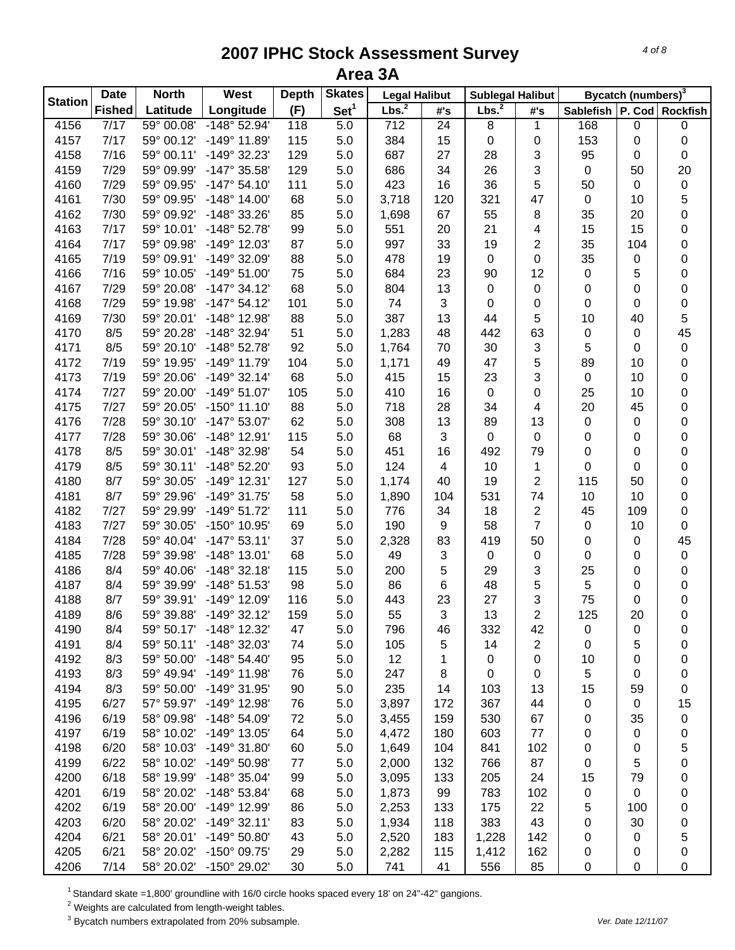|                | <b>Date</b>   | <b>North</b>        | West                  | <b>Depth</b> | <b>Skates</b>    | <b>Legal Halibut</b> |                | <b>Sublegal Halibut</b> |                         |             | Bycatch (numbers) <sup>3</sup> |                 |
|----------------|---------------|---------------------|-----------------------|--------------|------------------|----------------------|----------------|-------------------------|-------------------------|-------------|--------------------------------|-----------------|
| <b>Station</b> | <b>Fished</b> | Latitude            | Longitude             | (F)          | Set <sup>1</sup> | Lbs. <sup>2</sup>    | #'s            | Lbs. <sup>2</sup>       | #'s                     | Sablefish   |                                | P. Cod Rockfish |
| 4156           | 7/17          | 59° 00.08'          | $-148°52.94'$         | 118          | $\overline{5.0}$ | $\overline{712}$     | 24             | 8                       | 1                       | 168         | $\pmb{0}$                      | 0               |
| 4157           | 7/17          | 59° 00.12'          | -149° 11.89'          | 115          | 5.0              | 384                  | 15             | 0                       | 0                       | 153         | 0                              | 0               |
| 4158           | 7/16          | 59° 00.11'          | -149° 32.23'          | 129          | 5.0              | 687                  | 27             | 28                      | 3                       | 95          | 0                              | $\pmb{0}$       |
| 4159           | 7/29          | 59° 09.99'          | -147° 35.58'          | 129          | 5.0              | 686                  | 34             | 26                      | 3                       | $\mathsf 0$ | 50                             | 20              |
| 4160           | 7/29          | 59° 09.95'          | $-147°54.10'$         | 111          | 5.0              | 423                  | 16             | 36                      | 5                       | 50          | $\pmb{0}$                      | $\pmb{0}$       |
| 4161           | 7/30          | 59° 09.95'          | $-148^\circ$ 14.00    | 68           | 5.0              | 3,718                | 120            | 321                     | 47                      | $\mathbf 0$ | 10                             | $\mathbf 5$     |
| 4162           | 7/30          | 59° 09.92'          | -148° 33.26'          | 85           | 5.0              | 1,698                | 67             | 55                      | 8                       | 35          | 20                             | $\mathbf 0$     |
| 4163           | 7/17          | 59° 10.01'          | -148° 52.78'          | 99           | 5.0              | 551                  | 20             | 21                      | 4                       | 15          | 15                             | 0               |
| 4164           | 7/17          | 59° 09.98'          | $-149°$ 12.03'        | 87           | 5.0              | 997                  | 33             | 19                      | $\overline{2}$          | 35          | 104                            | 0               |
| 4165           | 7/19          | 59° 09.91'          | -149° 32.09'          | 88           | 5.0              | 478                  | 19             | 0                       | 0                       | 35          | 0                              | 0               |
| 4166           | 7/16          | 59° 10.05'          | $-149°51.00'$         | 75           | 5.0              | 684                  | 23             | 90                      | 12                      | $\pmb{0}$   | 5                              | 0               |
| 4167           | 7/29          | 59° 20.08'          | $-147°34.12'$         | 68           | 5.0              | 804                  | 13             | 0                       | 0                       | 0           | 0                              | 0               |
| 4168           | 7/29          | 59° 19.98'          | $-147°54.12'$         | 101          | 5.0              | 74                   | 3              | 0                       | 0                       | 0           | 0                              | $\pmb{0}$       |
| 4169           | 7/30          | 59° 20.01'          | -148° 12.98'          | 88           | 5.0              | 387                  | 13             | 44                      | 5                       | 10          | 40                             | 5               |
| 4170           | 8/5           | 59° 20.28'          | -148° 32.94'          | 51           | 5.0              | 1,283                | 48             | 442                     | 63                      | 0           | 0                              | 45              |
| 4171           | 8/5           | 59° 20.10'          | -148° 52.78'          | 92           | 5.0              | 1,764                | 70             | 30                      | $\sqrt{3}$              | 5           | 0                              | $\pmb{0}$       |
| 4172           | 7/19          | 59° 19.95'          | -149° 11.79'          | 104          | 5.0              | 1,171                | 49             | 47                      | 5                       | 89          | 10                             | 0               |
| 4173           | 7/19          | 59° 20.06'          | $-149°32.14'$         | 68           | 5.0              | 415                  | 15             | 23                      | 3                       | $\pmb{0}$   | 10                             | 0               |
| 4174           | 7/27          | 59° 20.00'          | $-149°51.07'$         | 105          | 5.0              | 410                  | 16             | 0                       | 0                       | 25          | 10                             | 0               |
| 4175           | 7/27          | 59° 20.05'          | $-150^{\circ}$ 11.10' | 88           | 5.0              | 718                  | 28             | 34                      | $\overline{\mathbf{4}}$ | 20          | 45                             | $\pmb{0}$       |
| 4176           | 7/28          | 59° 30.10'          | $-147^{\circ} 53.07'$ | 62           | 5.0              | 308                  | 13             | 89                      | 13                      | $\mathsf 0$ | 0                              | $\pmb{0}$       |
| 4177           | 7/28          | 59° 30.06'          | $-148°$ 12.91'        | 115          | 5.0              | 68                   | 3              | $\pmb{0}$               | $\pmb{0}$               | 0           | 0                              | $\pmb{0}$       |
| 4178           | 8/5           | 59° 30.01'          | -148° 32.98'          | 54           | 5.0              | 451                  | 16             | 492                     | 79                      | $\pmb{0}$   | 0                              | $\pmb{0}$       |
| 4179           | 8/5           | 59° 30.11'          | -148° 52.20'          | 93           | 5.0              | 124                  | $\overline{4}$ | 10                      | $\mathbf{1}$            | 0           | 0                              | $\pmb{0}$       |
| 4180           | 8/7           | 59° 30.05'          | $-149°$ 12.31'        | 127          | 5.0              | 1,174                | 40             | 19                      | $\overline{2}$          | 115         | 50                             | 0               |
| 4181           | 8/7           | 59° 29.96'          | $-149°31.75'$         | 58           | 5.0              | 1,890                | 104            | 531                     | 74                      | 10          | 10                             | $\pmb{0}$       |
| 4182           | 7/27          | 59° 29.99'          | $-149°51.72'$         | 111          | 5.0              | 776                  | 34             | 18                      | $\sqrt{2}$              | 45          | 109                            | $\pmb{0}$       |
| 4183           | 7/27          | 59° 30.05'          | -150° 10.95'          | 69           | 5.0              | 190                  | 9              | 58                      | $\overline{7}$          | $\pmb{0}$   | 10                             | $\pmb{0}$       |
| 4184           | 7/28          | 59° 40.04'          | $-147°53.11'$         | 37           | 5.0              | 2,328                | 83             | 419                     | 50                      | 0           | 0                              | 45              |
| 4185           | 7/28          | 59° 39.98'          | $-148°$ 13.01'        | 68           | 5.0              | 49                   | 3              | $\pmb{0}$               | 0                       | 0           | 0                              | $\pmb{0}$       |
| 4186           | 8/4           | 59° 40.06'          | $-148°32.18'$         | 115          | 5.0              | 200                  | 5              | 29                      | 3                       | 25          | 0                              | $\pmb{0}$       |
| 4187           | 8/4           | 59° 39.99'          | -148° 51.53'          | 98           | 5.0              | 86                   | 6              | 48                      | 5                       | 5           | 0                              | 0               |
| 4188           | 8/7           | 59° 39.91'          | -149° 12.09'          | 116          | 5.0              | 443                  | 23             | 27                      | 3                       | 75          | 0                              | 0               |
| 4189           | 8/6           | 59° 39.88'          | $-149°32.12'$         | 159          | 5.0              | 55                   | 3              | 13                      | $\overline{2}$          | 125         | 20                             | 0               |
| 4190           | 8/4           | $59^{\circ} 50.17'$ | $-148^\circ$ 12.32'   | 47           | 5.0              | 796                  | 46             | 332                     | 42                      | 0           | 0                              | 0               |
| 4191           | 8/4           | 59° 50.11'          | -148° 32.03'          | 74           | 5.0              | 105                  | 5              | 14                      | $\overline{2}$          | 0           | 5                              | 0               |
| 4192           | 8/3           | 59° 50.00'          | $-148°54.40'$         | 95           | 5.0              | 12                   | 1              | 0                       | 0                       | 10          | 0                              | 0               |
| 4193           | 8/3           | 59° 49.94'          | -149° 11.98'          | 76           | 5.0              | 247                  | 8              | $\mathbf 0$             | 0                       | 5           | 0                              | 0               |
| 4194           | 8/3           | 59° 50.00'          | -149° 31.95'          | 90           | 5.0              | 235                  | 14             | 103                     | 13                      | 15          | 59                             | 0               |
| 4195           | 6/27          | 57° 59.97'          | -149° 12.98'          | 76           | 5.0              | 3,897                | 172            | 367                     | 44                      | 0           | 0                              | 15              |
| 4196           | 6/19          | 58° 09.98'          | -148° 54.09'          | 72           | 5.0              | 3,455                | 159            | 530                     | 67                      | 0           | 35                             | 0               |
| 4197           | 6/19          | 58° 10.02'          | $-149°$ 13.05'        | 64           | 5.0              | 4,472                | 180            | 603                     | 77                      | 0           | 0                              | 0               |
| 4198           | 6/20          | 58° 10.03'          | $-149°31.80'$         | 60           | 5.0              | 1,649                | 104            | 841                     | 102                     | 0           | 0                              | 5               |
| 4199           | 6/22          | 58° 10.02'          | -149° 50.98'          | 77           | 5.0              | 2,000                | 132            | 766                     | 87                      | 0           | 5                              | 0               |
| 4200           | 6/18          | 58° 19.99'          | $-148°35.04'$         | 99           | 5.0              | 3,095                | 133            | 205                     | 24                      | 15          | 79                             | 0               |
| 4201           | 6/19          | 58° 20.02'          | $-148°53.84'$         | 68           | 5.0              | 1,873                | 99             | 783                     | 102                     | 0           | 0                              | 0               |
| 4202           | 6/19          | 58° 20.00'          | -149° 12.99'          | 86           | 5.0              | 2,253                | 133            | 175                     | 22                      | 5           | 100                            | 0               |
| 4203           | 6/20          | 58° 20.02'          | $-149°32.11'$         | 83           | 5.0              | 1,934                | 118            | 383                     | 43                      | 0           | 30                             | 0               |
| 4204           | 6/21          | 58° 20.01'          | $-149°50.80'$         | 43           | 5.0              | 2,520                | 183            | 1,228                   | 142                     | 0           | 0                              | 5               |
| 4205           | 6/21          | 58° 20.02'          | $-150^{\circ}$ 09.75' | 29           | 5.0              | 2,282                | 115            | 1,412                   | 162                     | 0           | 0                              | 0               |
| 4206           | 7/14          | 58° 20.02'          | $-150^{\circ}$ 29.02' | 30           | 5.0              | 741                  | 41             | 556                     | 85                      | 0           | 0                              | $\mathbf 0$     |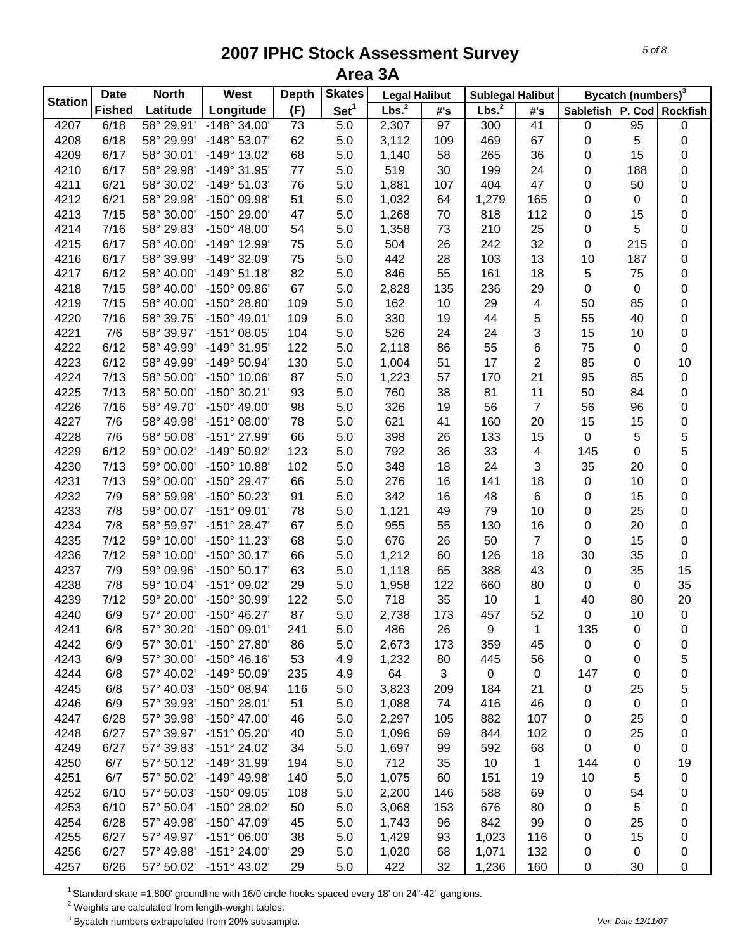|                | <b>Date</b>   | <b>North</b> | West                  | <b>Depth</b>    | <b>Skates</b>    | <b>Legal Halibut</b> |     | <b>Sublegal Halibut</b> |                         |                   | Bycatch (numbers) <sup>3</sup> |                 |
|----------------|---------------|--------------|-----------------------|-----------------|------------------|----------------------|-----|-------------------------|-------------------------|-------------------|--------------------------------|-----------------|
| <b>Station</b> | <b>Fished</b> | Latitude     | Longitude             | (F)             | Set <sup>1</sup> | Lbs. <sup>2</sup>    | #'s | Lbs. <sup>2</sup>       | #'s                     | Sablefish         |                                | P. Cod Rockfish |
| 4207           | 6/18          | 58° 29.91'   | $-148^\circ 34.00'$   | $\overline{73}$ | $\overline{5.0}$ | 2,307                | 97  | 300                     | $\overline{41}$         | $\pmb{0}$         | 95                             | 0               |
| 4208           | 6/18          | 58° 29.99'   | $-148°53.07'$         | 62              | 5.0              | 3,112                | 109 | 469                     | 67                      | $\pmb{0}$         | 5                              | 0               |
| 4209           | 6/17          | 58° 30.01'   | -149° 13.02'          | 68              | 5.0              | 1,140                | 58  | 265                     | 36                      | 0                 | 15                             | 0               |
| 4210           | 6/17          | 58° 29.98'   | -149° 31.95'          | $77 \,$         | 5.0              | 519                  | 30  | 199                     | 24                      | 0                 | 188                            | 0               |
| 4211           | 6/21          | 58° 30.02'   | $-149°51.03'$         | 76              | 5.0              | 1,881                | 107 | 404                     | 47                      | 0                 | 50                             | 0               |
| 4212           | 6/21          | 58° 29.98'   | -150° 09.98'          | 51              | 5.0              | 1,032                | 64  | 1,279                   | 165                     | $\pmb{0}$         | $\pmb{0}$                      | 0               |
| 4213           | 7/15          | 58° 30.00'   | -150° 29.00'          | 47              | 5.0              | 1,268                | 70  | 818                     | 112                     | $\pmb{0}$         | 15                             | 0               |
| 4214           | 7/16          | 58° 29.83'   | $-150^{\circ}$ 48.00' | 54              | 5.0              | 1,358                | 73  | 210                     | 25                      | $\pmb{0}$         | 5                              | 0               |
| 4215           | 6/17          | 58° 40.00'   | -149° 12.99'          | 75              | 5.0              | 504                  | 26  | 242                     | 32                      | $\pmb{0}$         | 215                            | 0               |
| 4216           | 6/17          | 58° 39.99'   | -149° 32.09'          | 75              | 5.0              | 442                  | 28  | 103                     | 13                      | 10                | 187                            | 0               |
| 4217           | 6/12          | 58° 40.00'   | $-149°51.18'$         | 82              | 5.0              | 846                  | 55  | 161                     | 18                      | 5                 | 75                             | 0               |
| 4218           | 7/15          | 58° 40.00'   | -150° 09.86'          | 67              | 5.0              | 2,828                | 135 | 236                     | 29                      | 0                 | 0                              | 0               |
| 4219           | 7/15          | 58° 40.00'   | -150° 28.80'          | 109             | 5.0              | 162                  | 10  | 29                      | 4                       | 50                | 85                             | 0               |
| 4220           | 7/16          | 58° 39.75'   | $-150^{\circ}$ 49.01' | 109             | 5.0              | 330                  | 19  | 44                      | 5                       | 55                | 40                             | 0               |
| 4221           | 7/6           | 58° 39.97'   | $-151^{\circ}$ 08.05' | 104             | 5.0              | 526                  | 24  | 24                      | 3                       | 15                | 10                             | 0               |
| 4222           | 6/12          | 58° 49.99'   | -149° 31.95'          | 122             | 5.0              | 2,118                | 86  | 55                      | 6                       | 75                | $\mathbf 0$                    | 0               |
| 4223           | 6/12          | 58° 49.99'   | -149° 50.94'          | 130             | 5.0              | 1,004                | 51  | 17                      | $\overline{2}$          | 85                | 0                              | 10              |
| 4224           | 7/13          | 58° 50.00'   | $-150^{\circ}$ 10.06' | 87              | 5.0              | 1,223                | 57  | 170                     | 21                      | 95                | 85                             | 0               |
| 4225           | 7/13          | 58° 50.00'   | $-150^{\circ}$ 30.21' | 93              | 5.0              | 760                  | 38  | 81                      | 11                      | 50                | 84                             | 0               |
| 4226           | 7/16          | 58° 49.70'   | -150° 49.00'          | 98              | 5.0              | 326                  | 19  | 56                      | $\overline{7}$          | 56                | 96                             | 0               |
| 4227           | 7/6           | 58° 49.98'   | $-151^{\circ}$ 08.00' | 78              | 5.0              | 621                  | 41  | 160                     | 20                      | 15                | 15                             | 0               |
| 4228           | 7/6           | 58° 50.08'   | -151° 27.99'          | 66              | 5.0              | 398                  | 26  | 133                     | 15                      | $\mathbf 0$       | 5                              | 5               |
| 4229           | 6/12          | 59° 00.02'   | -149° 50.92'          | 123             | 5.0              | 792                  | 36  | 33                      | $\overline{\mathbf{4}}$ | 145               | $\pmb{0}$                      | 5               |
| 4230           | 7/13          | 59° 00.00'   | -150° 10.88'          | 102             | 5.0              | 348                  | 18  | 24                      | 3                       | 35                | 20                             | 0               |
| 4231           | 7/13          | 59° 00.00'   | -150° 29.47'          | 66              | 5.0              | 276                  | 16  | 141                     | 18                      | $\pmb{0}$         | 10                             | 0               |
| 4232           | 7/9           | 58° 59.98'   | -150° 50.23'          | 91              | 5.0              | 342                  | 16  | 48                      | 6                       | $\pmb{0}$         | 15                             | 0               |
| 4233           | 7/8           | 59° 00.07'   | $-151^{\circ}$ 09.01' | 78              | 5.0              | 1,121                | 49  | 79                      | 10                      | $\mathbf 0$       | 25                             | 0               |
| 4234           | 7/8           | 58° 59.97'   | $-151^{\circ} 28.47'$ | 67              | 5.0              | 955                  | 55  | 130                     | 16                      | 0                 | 20                             | 0               |
| 4235           | 7/12          | 59° 10.00'   | $-150^{\circ}$ 11.23' | 68              | 5.0              | 676                  | 26  | 50                      | $\overline{7}$          | $\pmb{0}$         | 15                             | 0               |
| 4236           | 7/12          | 59° 10.00'   | $-150^{\circ}$ 30.17' | 66              | 5.0              | 1,212                | 60  | 126                     | 18                      | 30                | 35                             | 0               |
| 4237           | 7/9           | 59° 09.96'   | $-150^{\circ} 50.17'$ | 63              | 5.0              | 1,118                | 65  | 388                     | 43                      | $\pmb{0}$         | 35                             | 15              |
| 4238           | 7/8           | 59° 10.04'   | -151° 09.02'          | 29              |                  |                      |     | 660                     | 80                      | $\pmb{0}$         | $\pmb{0}$                      | 35              |
|                |               |              |                       |                 | 5.0              | 1,958                | 122 |                         |                         |                   |                                |                 |
| 4239           | 7/12<br>6/9   | 59° 20.00'   | -150° 30.99'          | 122<br>87       | 5.0              | 718                  | 35  | 10                      | 1                       | 40<br>$\mathbf 0$ | 80                             | 20              |
| 4240           |               | 57° 20.00'   | $-150^{\circ}$ 46.27' |                 | 5.0              | 2,738                | 173 | 457                     | 52                      |                   | 10                             | $\mathbf 0$     |
| 4241           | 6/8           | 57° 30.20'   | $-150^{\circ}$ 09.01' | 241             | 5.0              | 486                  | 26  | 9                       | 1                       | 135               | 0                              | 0               |
| 4242           | 6/9           | 57° 30.01'   | -150° 27.80'          | 86              | 5.0              | 2,673                | 173 | 359                     | 45                      | $\pmb{0}$         | 0                              | 0               |
| 4243           | 6/9           | 57° 30.00'   | $-150^{\circ}$ 46.16' | 53              | 4.9              | 1,232                | 80  | 445                     | 56                      | $\mathbf 0$       | 0                              | 5               |
| 4244           | 6/8           | 57° 40.02'   | -149° 50.09'          | 235             | 4.9              | 64                   | 3   | $\mathsf 0$             | 0                       | 147               | 0                              | 0               |
| 4245           | 6/8           | 57° 40.03'   | -150° 08.94'          | 116             | 5.0              | 3,823                | 209 | 184                     | 21                      | $\pmb{0}$         | 25                             | 5               |
| 4246           | 6/9           | 57° 39.93'   | $-150^{\circ}$ 28.01' | 51              | 5.0              | 1,088                | 74  | 416                     | 46                      | 0                 | $\mathbf 0$                    | 0               |
| 4247           | 6/28          | 57° 39.98'   | $-150^{\circ}$ 47.00  | 46              | 5.0              | 2,297                | 105 | 882                     | 107                     | 0                 | 25                             | 0               |
| 4248           | 6/27          | 57° 39.97'   | $-151^{\circ}$ 05.20' | 40              | 5.0              | 1,096                | 69  | 844                     | 102                     | 0                 | 25                             | 0               |
| 4249           | 6/27          | 57° 39.83'   | $-151^{\circ} 24.02'$ | 34              | 5.0              | 1,697                | 99  | 592                     | 68                      | 0                 | 0                              | 0               |
| 4250           | 6/7           | 57° 50.12'   | -149° 31.99'          | 194             | 5.0              | 712                  | 35  | 10                      | 1                       | 144               | 0                              | 19              |
| 4251           | 6/7           | 57° 50.02'   | -149° 49.98'          | 140             | 5.0              | 1,075                | 60  | 151                     | 19                      | 10                | 5                              | 0               |
| 4252           | 6/10          | 57° 50.03'   | -150° 09.05'          | 108             | 5.0              | 2,200                | 146 | 588                     | 69                      | 0                 | 54                             | 0               |
| 4253           | 6/10          | 57° 50.04'   | -150° 28.02'          | 50              | 5.0              | 3,068                | 153 | 676                     | 80                      | 0                 | 5                              | 0               |
| 4254           | 6/28          | 57° 49.98'   | -150° 47.09'          | 45              | 5.0              | 1,743                | 96  | 842                     | 99                      | 0                 | 25                             | 0               |
| 4255           | 6/27          | 57° 49.97'   | $-151^{\circ}$ 06.00' | 38              | 5.0              | 1,429                | 93  | 1,023                   | 116                     | 0                 | 15                             | 0               |
| 4256           | 6/27          | 57° 49.88'   | $-151°$ 24.00         | 29              | 5.0              | 1,020                | 68  | 1,071                   | 132                     | 0                 | $\mathbf 0$                    | 0               |
| 4257           | 6/26          | 57° 50.02'   | $-151^{\circ}$ 43.02' | 29              | 5.0              | 422                  | 32  | 1,236                   | 160                     | 0                 | 30                             | 0               |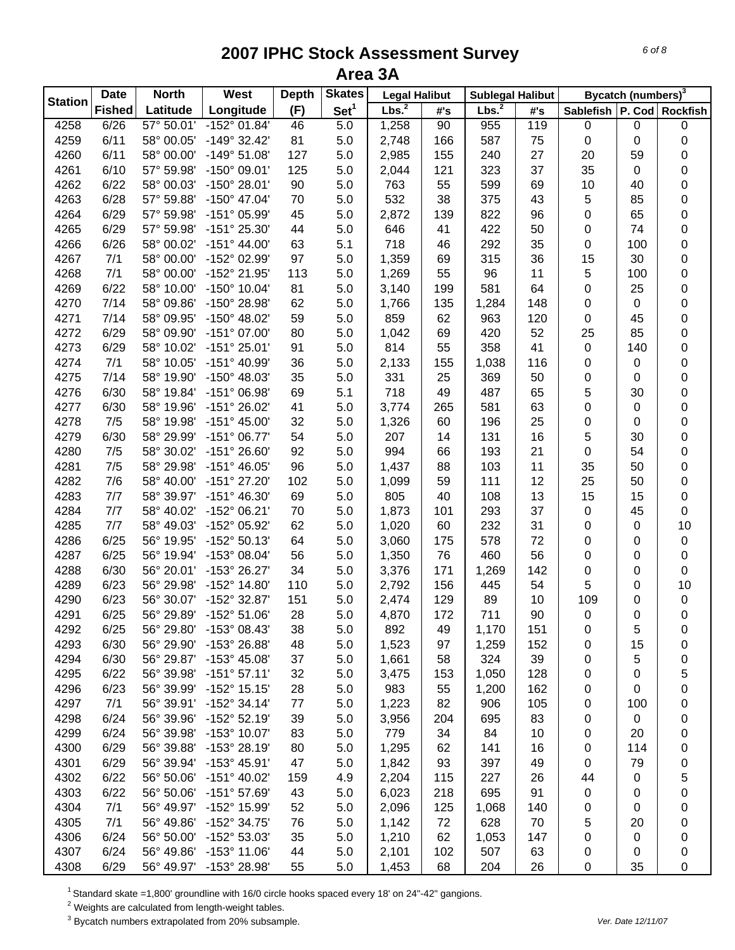| <b>Station</b> | <b>Date</b>   | <b>North</b> | West                  | <b>Depth</b> | <b>Skates</b>    | <b>Legal Halibut</b> |     | <b>Sublegal Halibut</b> |     |                               | Bycatch (numbers) <sup>3</sup> |           |
|----------------|---------------|--------------|-----------------------|--------------|------------------|----------------------|-----|-------------------------|-----|-------------------------------|--------------------------------|-----------|
|                | <b>Fished</b> | Latitude     | Longitude             | (F)          | Set <sup>1</sup> | Lbs. <sup>2</sup>    | #'s | Lbs. <sup>2</sup>       | #'s | Sablefish   P. Cod   Rockfish |                                |           |
| 4258           | 6/26          | 57° 50.01'   | $-152^{\circ}$ 01.84' | 46           | 5.0              | 1,258                | 90  | 955                     | 119 | 0                             | 0                              | $\pmb{0}$ |
| 4259           | 6/11          | 58° 00.05'   | $-149°32.42'$         | 81           | 5.0              | 2,748                | 166 | 587                     | 75  | $\pmb{0}$                     | 0                              | 0         |
| 4260           | 6/11          | 58° 00.00'   | $-149°51.08'$         | 127          | 5.0              | 2,985                | 155 | 240                     | 27  | 20                            | 59                             | 0         |
| 4261           | 6/10          | 57° 59.98'   | $-150^{\circ}$ 09.01' | 125          | 5.0              | 2,044                | 121 | 323                     | 37  | 35                            | 0                              | 0         |
| 4262           | 6/22          | 58° 00.03'   | -150° 28.01'          | 90           | 5.0              | 763                  | 55  | 599                     | 69  | 10                            | 40                             | 0         |
| 4263           | 6/28          | 57° 59.88'   | $-150^{\circ}$ 47.04' | 70           | 5.0              | 532                  | 38  | 375                     | 43  | 5                             | 85                             | 0         |
| 4264           | 6/29          | 57° 59.98'   | $-151^{\circ}$ 05.99  | 45           | 5.0              | 2,872                | 139 | 822                     | 96  | 0                             | 65                             | $\pmb{0}$ |
| 4265           | 6/29          | 57° 59.98'   | -151° 25.30'          | 44           | 5.0              | 646                  | 41  | 422                     | 50  | 0                             | 74                             | $\pmb{0}$ |
| 4266           | 6/26          | 58° 00.02'   | $-151^{\circ}$ 44.00  | 63           | 5.1              | 718                  | 46  | 292                     | 35  | $\pmb{0}$                     | 100                            | $\pmb{0}$ |
| 4267           | 7/1           | 58° 00.00'   | -152° 02.99'          | 97           | 5.0              | 1,359                | 69  | 315                     | 36  | 15                            | 30                             | $\pmb{0}$ |
| 4268           | 7/1           | 58° 00.00'   | -152° 21.95'          | 113          | 5.0              | 1,269                | 55  | 96                      | 11  | 5                             | 100                            | 0         |
| 4269           | 6/22          | 58° 10.00'   | $-150^{\circ}$ 10.04' | 81           | 5.0              | 3,140                | 199 | 581                     | 64  | 0                             | 25                             | 0         |
| 4270           | 7/14          | 58° 09.86'   | -150° 28.98'          | 62           | 5.0              | 1,766                | 135 | 1,284                   | 148 | 0                             | 0                              | 0         |
| 4271           | 7/14          | 58° 09.95'   | $-150^{\circ}$ 48.02' | 59           | 5.0              | 859                  | 62  | 963                     | 120 | 0                             | 45                             | 0         |
| 4272           | 6/29          | 58° 09.90'   | $-151^{\circ}$ 07.00  | 80           | 5.0              | 1,042                | 69  | 420                     | 52  | 25                            | 85                             | 0         |
| 4273           | 6/29          | 58° 10.02'   | $-151^{\circ} 25.01'$ | 91           | 5.0              | 814                  | 55  | 358                     | 41  | $\pmb{0}$                     | 140                            | 0         |
| 4274           | 7/1           | 58° 10.05'   | -151° 40.99'          | 36           | 5.0              | 2,133                | 155 | 1,038                   | 116 | 0                             | 0                              | 0         |
| 4275           | 7/14          | 58° 19.90'   | $-150^{\circ}$ 48.03' | 35           | 5.0              | 331                  | 25  | 369                     | 50  | 0                             | 0                              | 0         |
| 4276           | 6/30          | 58° 19.84'   | $-151^{\circ}$ 06.98' | 69           | 5.1              | 718                  | 49  | 487                     | 65  | 5                             | 30                             | 0         |
| 4277           | 6/30          | 58° 19.96'   | -151° 26.02'          | 41           | 5.0              | 3,774                | 265 | 581                     | 63  | 0                             | 0                              | 0         |
| 4278           | 7/5           | 58° 19.98'   | $-151^{\circ}$ 45.00  | 32           | 5.0              | 1,326                | 60  | 196                     | 25  | 0                             | 0                              | 0         |
| 4279           | 6/30          | 58° 29.99'   | $-151^{\circ}$ 06.77' | 54           | 5.0              | 207                  | 14  | 131                     | 16  | 5                             | 30                             | 0         |
| 4280           | 7/5           | 58° 30.02'   | $-151^{\circ} 26.60'$ | 92           | 5.0              | 994                  | 66  | 193                     | 21  | $\pmb{0}$                     | 54                             | 0         |
| 4281           | 7/5           | 58° 29.98'   | $-151^{\circ}$ 46.05' | 96           | 5.0              | 1,437                | 88  | 103                     | 11  | 35                            | 50                             | $\pmb{0}$ |
| 4282           | 7/6           | 58° 40.00'   | -151° 27.20'          | 102          | 5.0              | 1,099                | 59  | 111                     | 12  | 25                            | 50                             | $\pmb{0}$ |
| 4283           | 7/7           | 58° 39.97'   | $-151^{\circ}$ 46.30' | 69           | 5.0              | 805                  | 40  | 108                     | 13  | 15                            | 15                             | $\pmb{0}$ |
| 4284           | 7/7           | 58° 40.02'   | $-152^{\circ}$ 06.21' | 70           | 5.0              | 1,873                | 101 |                         | 37  | $\pmb{0}$                     | 45                             | $\pmb{0}$ |
|                | 7/7           | 58° 49.03'   | -152° 05.92'          | 62           | 5.0              | 1,020                | 60  | 293                     | 31  | 0                             |                                | 10        |
| 4285<br>4286   |               |              | $-152°50.13'$         |              |                  |                      |     | 232                     | 72  |                               | 0                              |           |
|                | 6/25          | 56° 19.95'   |                       | 64           | 5.0              | 3,060                | 175 | 578<br>460              |     | 0                             | 0                              | $\pmb{0}$ |
| 4287           | 6/25          | 56° 19.94'   | -153° 08.04'          | 56           | 5.0              | 1,350                | 76  |                         | 56  | 0                             | 0                              | $\pmb{0}$ |
| 4288           | 6/30          | 56° 20.01'   | -153° 26.27'          | 34           | 5.0              | 3,376                | 171 | 1,269                   | 142 | 0                             | 0                              | $\pmb{0}$ |
| 4289           | 6/23          | 56° 29.98'   | -152° 14.80'          | 110          | 5.0              | 2,792                | 156 | 445                     | 54  | 5                             | 0                              | 10        |
| 4290           | 6/23          | 56° 30.07'   | -152° 32.87'          | 151          | 5.0              | 2,474                | 129 | 89                      | 10  | 109                           | 0                              | $\pmb{0}$ |
| 4291           | 6/25          | 56° 29.89'   | $-152^{\circ} 51.06'$ | 28           | 5.0              | 4,870                | 172 | 711                     | 90  | $\pmb{0}$                     | 0                              | $\pmb{0}$ |
| 4292           | 6/25          | 56° 29.80'   | -153° 08.43'          | 38           | 5.0              | 892                  | 49  | 1,170                   | 151 | 0                             | 5                              | 0         |
| 4293           | 6/30          | 56° 29.90'   | -153° 26.88'          | 48           | 5.0              | 1,523                | 97  | 1,259                   | 152 | 0                             | 15                             | 0         |
| 4294           | 6/30          | 56° 29.87'   | $-153^{\circ}$ 45.08' | 37           | 5.0              | 1,661                | 58  | 324                     | 39  | 0                             | 5                              | 0         |
| 4295           | 6/22          | 56° 39.98'   | $-151°57.11'$         | 32           | 5.0              | 3,475                | 153 | 1,050                   | 128 | 0                             | 0                              | 5         |
| 4296           | 6/23          | 56° 39.99'   | $-152^{\circ}$ 15.15' | 28           | 5.0              | 983                  | 55  | 1,200                   | 162 | 0                             | 0                              | 0         |
| 4297           | 7/1           | 56° 39.91'   | $-152^{\circ}$ 34.14' | 77           | 5.0              | 1,223                | 82  | 906                     | 105 | 0                             | 100                            | 0         |
| 4298           | 6/24          | 56° 39.96'   | $-152^{\circ}52.19'$  | 39           | 5.0              | 3,956                | 204 | 695                     | 83  | 0                             | $\mathsf 0$                    | 0         |
| 4299           | 6/24          | 56° 39.98'   | -153° 10.07'          | 83           | 5.0              | 779                  | 34  | 84                      | 10  | 0                             | 20                             | 0         |
| 4300           | 6/29          | 56° 39.88'   | -153° 28.19'          | 80           | 5.0              | 1,295                | 62  | 141                     | 16  | 0                             | 114                            | 0         |
| 4301           | 6/29          | 56° 39.94'   | $-153^{\circ}$ 45.91' | 47           | 5.0              | 1,842                | 93  | 397                     | 49  | 0                             | 79                             | 0         |
| 4302           | 6/22          | 56° 50.06'   | $-151^{\circ}$ 40.02  | 159          | 4.9              | 2,204                | 115 | 227                     | 26  | 44                            | 0                              | 5         |
| 4303           | 6/22          | 56° 50.06'   | $-151^{\circ}57.69'$  | 43           | 5.0              | 6,023                | 218 | 695                     | 91  | 0                             | 0                              | 0         |
| 4304           | 7/1           | 56° 49.97'   | -152° 15.99'          | 52           | 5.0              | 2,096                | 125 | 1,068                   | 140 | 0                             | 0                              | 0         |
| 4305           | 7/1           | 56° 49.86'   | -152° 34.75'          | 76           | 5.0              | 1,142                | 72  | 628                     | 70  | 5                             | 20                             | 0         |
| 4306           | 6/24          | 56° 50.00'   | -152° 53.03'          | 35           | 5.0              | 1,210                | 62  | 1,053                   | 147 | 0                             | 0                              | 0         |
| 4307           | 6/24          | 56° 49.86'   | $-153^{\circ}$ 11.06' | 44           | 5.0              | 2,101                | 102 | 507                     | 63  | 0                             | 0                              | 0         |
| 4308           | 6/29          | 56° 49.97'   | -153° 28.98'          | 55           | 5.0              | 1,453                | 68  | 204                     | 26  | 0                             | 35                             | 0         |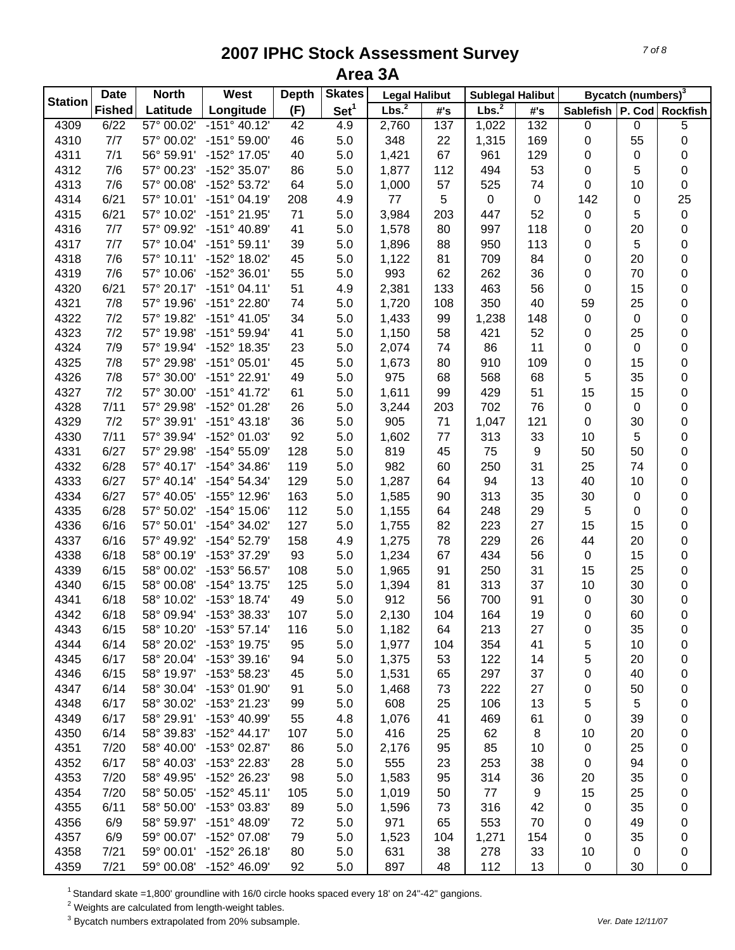|                | <b>Date</b>   | <b>North</b> | West                                  | <b>Depth</b> | <b>Skates</b>    | <b>Legal Halibut</b> |            | <b>Sublegal Halibut</b> |                     |                  | Bycatch (numbers) <sup>3</sup> |                 |
|----------------|---------------|--------------|---------------------------------------|--------------|------------------|----------------------|------------|-------------------------|---------------------|------------------|--------------------------------|-----------------|
| <b>Station</b> | <b>Fished</b> | Latitude     | Longitude                             | (F)          | Set <sup>1</sup> | Lbs. <sup>2</sup>    | #'s        | Lbs. <sup>2</sup>       | $\#^{\centerdot}$ s | <b>Sablefish</b> |                                | P. Cod Rockfish |
| 4309           | 6/22          | 57° 00.02'   | $-151^{\circ} 40.12'$                 | 42           | 4.9              | 2,760                | 137        | 1,022                   | 132                 | 0                | 0                              | $\overline{5}$  |
| 4310           | 7/7           | 57° 00.02'   | $-151^{\circ} 59.00'$                 | 46           | 5.0              | 348                  | 22         | 1,315                   | 169                 | 0                | 55                             | 0               |
| 4311           | 7/1           | 56° 59.91'   | -152° 17.05'                          | 40           | 5.0              | 1,421                | 67         | 961                     | 129                 | 0                | 0                              | 0               |
| 4312           | 7/6           | 57° 00.23'   | -152° 35.07'                          | 86           | 5.0              | 1,877                | 112        | 494                     | 53                  | 0                | 5                              | $\pmb{0}$       |
| 4313           | 7/6           | 57° 00.08'   | -152° 53.72'                          | 64           | 5.0              | 1,000                | 57         | 525                     | 74                  | 0                | 10                             | 0               |
| 4314           | 6/21          | 57° 10.01'   | $-151°04.19'$                         | 208          | 4.9              | 77                   | $\sqrt{5}$ | $\pmb{0}$               | $\pmb{0}$           | 142              | 0                              | 25              |
| 4315           | 6/21          | 57° 10.02'   | -151° 21.95'                          | 71           | 5.0              | 3,984                | 203        | 447                     | 52                  | $\pmb{0}$        | 5                              | $\pmb{0}$       |
| 4316           | 7/7           | 57° 09.92'   | $-151^{\circ}$ 40.89'                 | 41           | 5.0              | 1,578                | 80         | 997                     | 118                 | 0                | 20                             | $\pmb{0}$       |
| 4317           | 7/7           | 57° 10.04'   | $-151°59.11'$                         | 39           | 5.0              | 1,896                | 88         | 950                     | 113                 | 0                | 5                              | 0               |
| 4318           | 7/6           | 57° 10.11'   | -152° 18.02'                          | 45           | 5.0              | 1,122                | 81         | 709                     | 84                  | 0                | 20                             | $\pmb{0}$       |
| 4319           | 7/6           | 57° 10.06'   | $-152^{\circ}$ 36.01'                 | 55           | 5.0              | 993                  | 62         | 262                     | 36                  | 0                | 70                             | 0               |
| 4320           | 6/21          | 57° 20.17'   | $-151°04.11'$                         | 51           | 4.9              | 2,381                | 133        | 463                     | 56                  | 0                | 15                             | 0               |
| 4321           | 7/8           | 57° 19.96'   | -151° 22.80'                          | 74           | 5.0              | 1,720                | 108        | 350                     | 40                  | 59               | 25                             | $\pmb{0}$       |
| 4322           | 7/2           | 57° 19.82'   | $-151^{\circ}$ 41.05'                 | 34           | 5.0              | 1,433                | 99         | 1,238                   | 148                 | $\pmb{0}$        | 0                              | $\pmb{0}$       |
| 4323           | 7/2           | 57° 19.98'   | -151° 59.94'                          | 41           | 5.0              | 1,150                | 58         | 421                     | 52                  | 0                | 25                             | 0               |
| 4324           | 7/9           | 57° 19.94'   | -152° 18.35'                          | 23           | 5.0              | 2,074                | 74         | 86                      | 11                  | 0                | 0                              | 0               |
| 4325           | 7/8           | 57° 29.98'   | $-151^{\circ}$ 05.01'                 | 45           | 5.0              | 1,673                | 80         | 910                     | 109                 | 0                | 15                             | 0               |
| 4326           | 7/8           | 57° 30.00'   | $-151^{\circ}$ 22.91'                 | 49           | 5.0              | 975                  | 68         | 568                     | 68                  | 5                | 35                             | 0               |
| 4327           | 7/2           | 57° 30.00'   | $-151^{\circ}$ 41.72'                 | 61           | 5.0              | 1,611                | 99         | 429                     | 51                  | 15               | 15                             | 0               |
| 4328           | 7/11          | 57° 29.98'   | -152° 01.28'                          | 26           | 5.0              | 3,244                | 203        | 702                     | 76                  | $\boldsymbol{0}$ | 0                              | $\pmb{0}$       |
| 4329           | 7/2           | 57° 39.91'   | $-151^{\circ}$ 43.18'                 | 36           | 5.0              | 905                  | 71         | 1,047                   | 121                 | $\boldsymbol{0}$ | 30                             | $\pmb{0}$       |
| 4330           | 7/11          | 57° 39.94'   | -152° 01.03'                          | 92           | 5.0              | 1,602                | 77         | 313                     | 33                  | 10               | 5                              | $\pmb{0}$       |
| 4331           | 6/27          | 57° 29.98'   | $-154^{\circ} 55.09'$                 | 128          | 5.0              | 819                  | 45         | 75                      | $\boldsymbol{9}$    | 50               | 50                             | $\pmb{0}$       |
| 4332           | 6/28          | 57° 40.17'   | -154° 34.86'                          | 119          | 5.0              | 982                  | 60         | 250                     | 31                  | 25               | 74                             | $\pmb{0}$       |
| 4333           | 6/27          | 57° 40.14'   | $-154^{\circ} 54.34'$                 | 129          | 5.0              | 1,287                | 64         | 94                      | 13                  | 40               | 10                             | $\pmb{0}$       |
| 4334           | 6/27          | 57° 40.05'   |                                       |              |                  |                      | 90         | 313                     |                     | 30               |                                |                 |
| 4335           |               | 57° 50.02'   | -155° 12.96'<br>$-154^{\circ}$ 15.06' | 163          | 5.0              | 1,585                | 64         |                         | 35                  |                  | 0                              | 0               |
|                | 6/28          |              |                                       | 112          | 5.0              | 1,155                |            | 248                     | 29                  | 5                | 0                              | 0               |
| 4336           | 6/16          | 57° 50.01'   | $-154^{\circ}$ 34.02'                 | 127          | 5.0              | 1,755                | 82         | 223                     | 27                  | 15               | 15                             | 0               |
| 4337           | 6/16          | 57° 49.92'   | -154° 52.79'                          | 158          | 4.9              | 1,275                | 78         | 229                     | 26                  | 44               | 20                             | 0               |
| 4338           | 6/18          | 58° 00.19'   | -153° 37.29'                          | 93           | 5.0              | 1,234                | 67         | 434                     | 56                  | $\pmb{0}$        | 15                             | 0               |
| 4339           | 6/15          | 58° 00.02'   | -153° 56.57'                          | 108          | 5.0              | 1,965                | 91         | 250                     | 31                  | 15               | 25                             | $\pmb{0}$       |
| 4340           | 6/15          | 58° 00.08'   | -154° 13.75'                          | 125          | 5.0              | 1,394                | 81         | 313                     | 37                  | 10               | 30                             | 0               |
| 4341           | 6/18          | 58° 10.02'   | -153° 18.74'                          | 49           | 5.0              | 912                  | 56         | 700                     | 91                  | 0                | 30                             | 0               |
| 4342           | 6/18          | 58° 09.94'   | -153° 38.33'                          | 107          | 5.0              | 2,130                | 104        | 164                     | 19                  | $\mathbf 0$      | 60                             | $\pmb{0}$       |
| 4343           | 6/15          | 58° 10.20'   | $-153^{\circ}57.14'$                  | 116          | 5.0              | 1,182                | 64         | 213                     | 27                  | 0                | 35                             | 0               |
| 4344           | 6/14          | 58° 20.02'   | $-153^{\circ}$ 19.75'                 | 95           | 5.0              | 1,977                | 104        | 354                     | 41                  | 5                | 10                             | 0               |
| 4345           | 6/17          | 58° 20.04'   | $-153^{\circ}39.16'$                  | 94           | 5.0              | 1,375                | 53         | 122                     | 14                  | 5                | 20                             | 0               |
| 4346           | 6/15          | 58° 19.97'   | -153° 58.23'                          | 45           | 5.0              | 1,531                | 65         | 297                     | 37                  | 0                | 40                             | 0               |
| 4347           | 6/14          | 58° 30.04'   | -153° 01.90'                          | 91           | 5.0              | 1,468                | 73         | 222                     | 27                  | 0                | 50                             | 0               |
| 4348           | 6/17          | 58° 30.02'   | -153° 21.23'                          | 99           | 5.0              | 608                  | 25         | 106                     | 13                  | 5                | 5                              | 0               |
| 4349           | 6/17          | 58° 29.91'   | -153° 40.99'                          | 55           | 4.8              | 1,076                | 41         | 469                     | 61                  | 0                | 39                             | 0               |
| 4350           | 6/14          | 58° 39.83'   | $-152^{\circ}$ 44.17'                 | 107          | 5.0              | 416                  | 25         | 62                      | 8                   | 10               | 20                             | 0               |
| 4351           | 7/20          | 58° 40.00'   | -153° 02.87'                          | 86           | 5.0              | 2,176                | 95         | 85                      | 10                  | 0                | 25                             | 0               |
| 4352           | 6/17          | 58° 40.03'   | -153° 22.83'                          | 28           | 5.0              | 555                  | 23         | 253                     | 38                  | 0                | 94                             | 0               |
| 4353           | 7/20          | 58° 49.95'   | -152° 26.23'                          | 98           | 5.0              | 1,583                | 95         | 314                     | 36                  | 20               | 35                             | 0               |
| 4354           | 7/20          | 58° 50.05'   | $-152^{\circ}$ 45.11'                 | 105          | 5.0              | 1,019                | 50         | 77                      | 9                   | 15               | 25                             | 0               |
| 4355           | 6/11          | 58° 50.00'   | $-153^{\circ}$ 03.83'                 | 89           | 5.0              | 1,596                | 73         | 316                     | 42                  | 0                | 35                             | 0               |
| 4356           | 6/9           | 58° 59.97'   | $-151^{\circ}$ 48.09'                 | 72           | 5.0              | 971                  | 65         | 553                     | 70                  | 0                | 49                             | 0               |
| 4357           | 6/9           | 59° 00.07'   | -152° 07.08'                          | 79           | 5.0              | 1,523                | 104        | 1,271                   | 154                 | 0                | 35                             | 0               |
| 4358           | 7/21          | 59° 00.01'   | $-152^{\circ} 26.18'$                 | 80           | 5.0              | 631                  | 38         | 278                     | 33                  | 10               | 0                              | 0               |
| 4359           | 7/21          | 59° 00.08'   | $-152^{\circ}$ 46.09'                 | 92           | 5.0              | 897                  | 48         | 112                     | 13                  | 0                | 30                             | 0               |